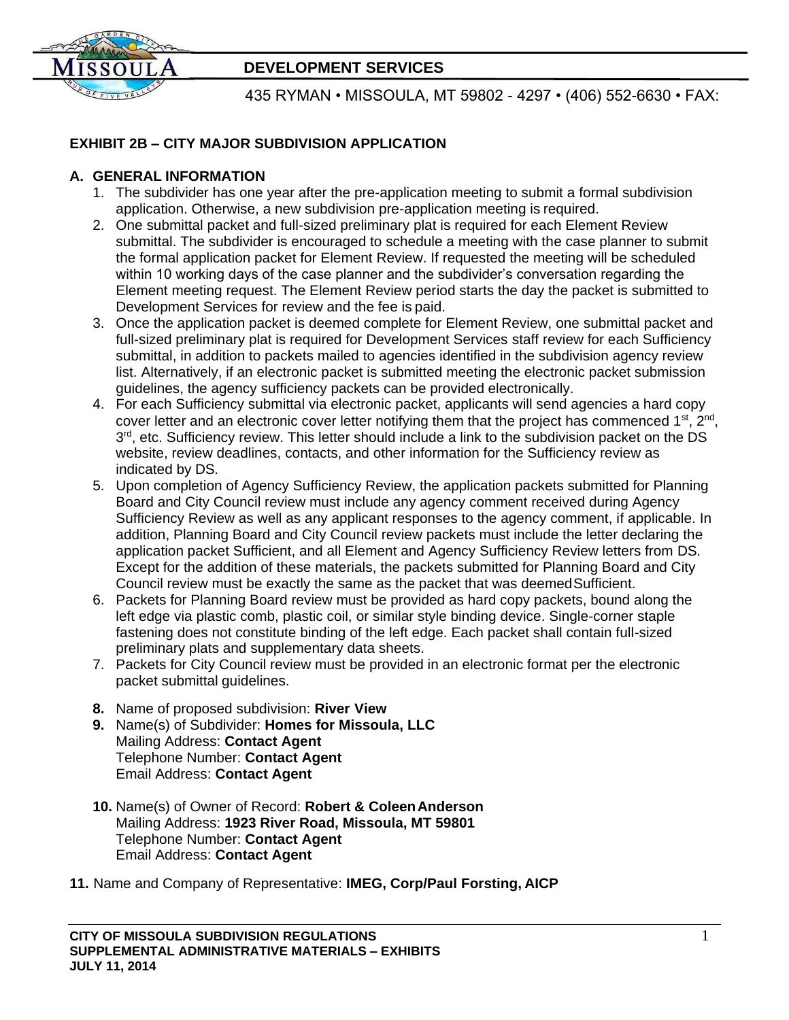

# **DEVELOPMENT SERVICES**

435 RYMAN • MISSOULA, MT 59802 - 4297 • (406) 552-6630 • FAX:

## **EXHIBIT 2B – CITY MAJOR SUBDIVISION APPLICATION**

### **A. GENERAL INFORMATION**

- 1. The subdivider has one year after the pre-application meeting to submit a formal subdivision application. Otherwise, a new subdivision pre-application meeting is required.
- 2. One submittal packet and full-sized preliminary plat is required for each Element Review submittal. The subdivider is encouraged to schedule a meeting with the case planner to submit the formal application packet for Element Review. If requested the meeting will be scheduled within 10 working days of the case planner and the subdivider's conversation regarding the Element meeting request. The Element Review period starts the day the packet is submitted to Development Services for review and the fee is paid.
- 3. Once the application packet is deemed complete for Element Review, one submittal packet and full-sized preliminary plat is required for Development Services staff review for each Sufficiency submittal, in addition to packets mailed to agencies identified in the subdivision agency review list. Alternatively, if an electronic packet is submitted meeting the electronic packet submission guidelines, the agency sufficiency packets can be provided electronically.
- 4. For each Sufficiency submittal via electronic packet, applicants will send agencies a hard copy cover letter and an electronic cover letter notifying them that the project has commenced 1<sup>st</sup>, 2<sup>nd</sup>, 3<sup>rd</sup>, etc. Sufficiency review. This letter should include a link to the subdivision packet on the DS website, review deadlines, contacts, and other information for the Sufficiency review as indicated by DS.
- 5. Upon completion of Agency Sufficiency Review, the application packets submitted for Planning Board and City Council review must include any agency comment received during Agency Sufficiency Review as well as any applicant responses to the agency comment, if applicable. In addition, Planning Board and City Council review packets must include the letter declaring the application packet Sufficient, and all Element and Agency Sufficiency Review letters from DS. Except for the addition of these materials, the packets submitted for Planning Board and City Council review must be exactly the same as the packet that was deemedSufficient.
- 6. Packets for Planning Board review must be provided as hard copy packets, bound along the left edge via plastic comb, plastic coil, or similar style binding device. Single-corner staple fastening does not constitute binding of the left edge. Each packet shall contain full-sized preliminary plats and supplementary data sheets.
- 7. Packets for City Council review must be provided in an electronic format per the electronic packet submittal guidelines.
- **8.** Name of proposed subdivision: **River View**
- **9.** Name(s) of Subdivider: **Homes for Missoula, LLC** Mailing Address: **Contact Agent**  Telephone Number: **Contact Agent**  Email Address: **Contact Agent**
- **10.** Name(s) of Owner of Record: **Robert & ColeenAnderson**  Mailing Address: **1923 River Road, Missoula, MT 59801**  Telephone Number: **Contact Agent** Email Address: **Contact Agent**

**11.** Name and Company of Representative: **IMEG, Corp/Paul Forsting, AICP**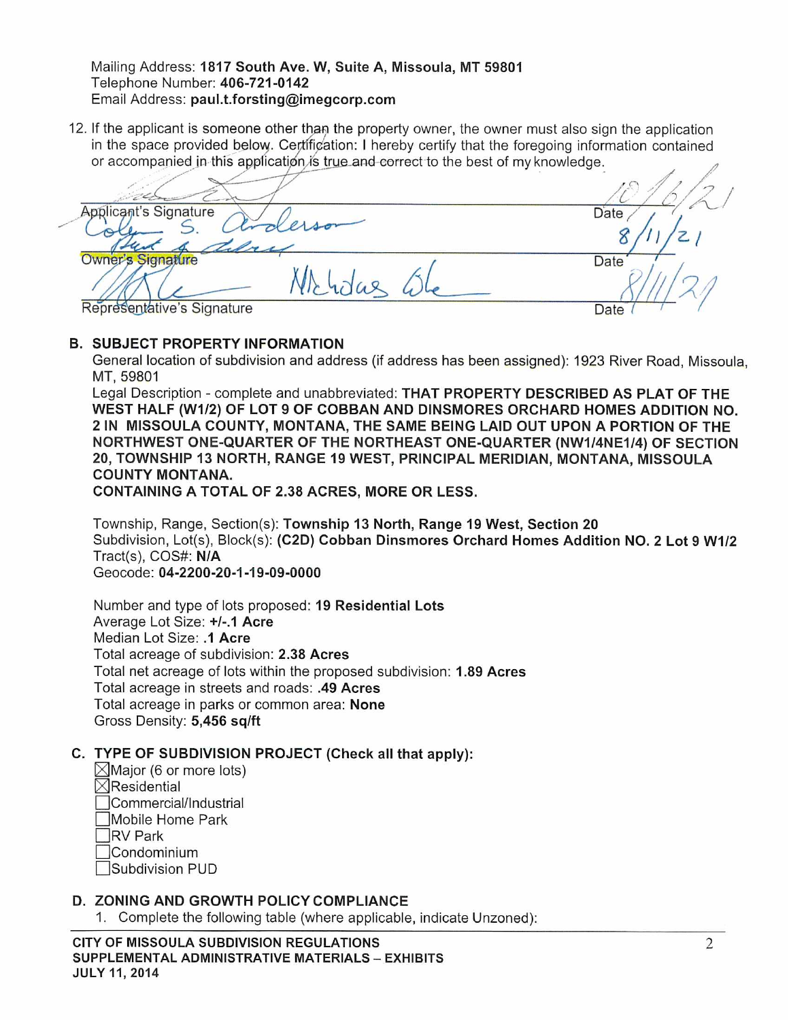#### Mailing Address: 1817 South Ave. W, Suite A, Missoula, MT 59801 Telephone Number: 406-721-0142 Email Address: paul.t.forsting@imegcorp.com

12. If the applicant is someone other than the property owner, the owner must also sign the application in the space provided below. Certification: I hereby certify that the foregoing information contained or accompanied in this application is true and correct to the best of my knowledge.

**Applicant's Signature** Date Owner's Signature Date Whidas Representative's Signature Date

### **B. SUBJECT PROPERTY INFORMATION**

General location of subdivision and address (if address has been assigned): 1923 River Road, Missoula, MT, 59801

Legal Description - complete and unabbreviated: THAT PROPERTY DESCRIBED AS PLAT OF THE WEST HALF (W1/2) OF LOT 9 OF COBBAN AND DINSMORES ORCHARD HOMES ADDITION NO. 2 IN MISSOULA COUNTY, MONTANA, THE SAME BEING LAID OUT UPON A PORTION OF THE NORTHWEST ONE-QUARTER OF THE NORTHEAST ONE-QUARTER (NW1/4NE1/4) OF SECTION 20, TOWNSHIP 13 NORTH, RANGE 19 WEST, PRINCIPAL MERIDIAN, MONTANA, MISSOULA **COUNTY MONTANA.** 

**CONTAINING A TOTAL OF 2.38 ACRES, MORE OR LESS.** 

Township, Range, Section(s): Township 13 North, Range 19 West, Section 20 Subdivision, Lot(s), Block(s): (C2D) Cobban Dinsmores Orchard Homes Addition NO. 2 Lot 9 W1/2 Tract(s), COS#: N/A Geocode: 04-2200-20-1-19-09-0000

Number and type of lots proposed: 19 Residential Lots Average Lot Size: +/-.1 Acre Median Lot Size: .1 Acre Total acreage of subdivision: 2.38 Acres Total net acreage of lots within the proposed subdivision: 1.89 Acres Total acreage in streets and roads: .49 Acres Total acreage in parks or common area: None Gross Density: 5,456 sq/ft

## C. TYPE OF SUBDIVISION PROJECT (Check all that apply):

- $\boxtimes$ Major (6 or more lots)  $\boxtimes$ Residential Commercial/Industrial Mobile Home Park **RV Park**
- Condominium
- Subdivision PUD

### D. ZONING AND GROWTH POLICY COMPLIANCE

1. Complete the following table (where applicable, indicate Unzoned):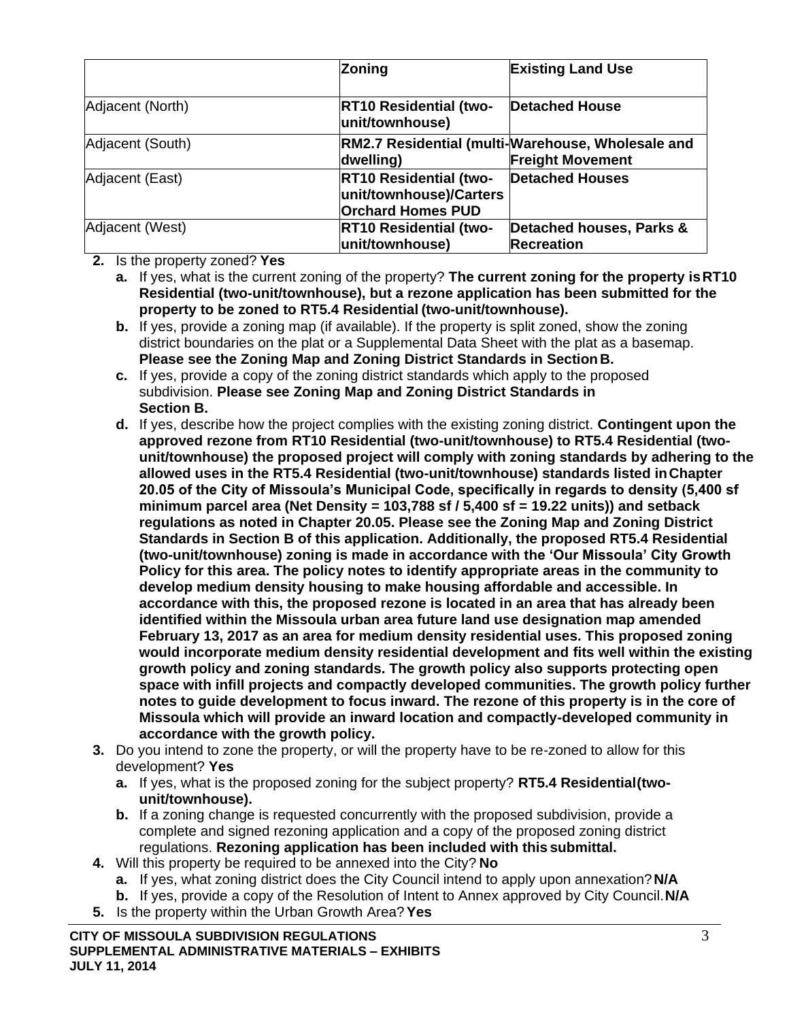|                  | <b>Zoning</b>                                                                        | <b>Existing Land Use</b>                                                     |  |  |
|------------------|--------------------------------------------------------------------------------------|------------------------------------------------------------------------------|--|--|
| Adjacent (North) | <b>RT10 Residential (two-</b><br>unit/townhouse)                                     | <b>Detached House</b>                                                        |  |  |
| Adjacent (South) | dwelling)                                                                            | RM2.7 Residential (multi-Warehouse, Wholesale and<br><b>Freight Movement</b> |  |  |
| Adjacent (East)  | <b>RT10 Residential (two-</b><br>unit/townhouse)/Carters<br><b>Orchard Homes PUD</b> | <b>Detached Houses</b>                                                       |  |  |
| Adjacent (West)  | <b>RT10 Residential (two-</b><br>unit/townhouse)                                     | Detached houses, Parks &<br><b>Recreation</b>                                |  |  |

**2.** Is the property zoned? **Yes**

**a.** If yes, what is the current zoning of the property? **The current zoning for the property isRT10 Residential (two-unit/townhouse), but a rezone application has been submitted for the property to be zoned to RT5.4 Residential (two-unit/townhouse).**

- **b.** If yes, provide a zoning map (if available). If the property is split zoned, show the zoning district boundaries on the plat or a Supplemental Data Sheet with the plat as a basemap. **Please see the Zoning Map and Zoning District Standards in SectionB.**
- **c.** If yes, provide a copy of the zoning district standards which apply to the proposed subdivision. **Please see Zoning Map and Zoning District Standards in Section B.**
- **d.** If yes, describe how the project complies with the existing zoning district. **Contingent upon the approved rezone from RT10 Residential (two-unit/townhouse) to RT5.4 Residential (twounit/townhouse) the proposed project will comply with zoning standards by adhering to the allowed uses in the RT5.4 Residential (two-unit/townhouse) standards listed inChapter 20.05 of the City of Missoula's Municipal Code, specifically in regards to density (5,400 sf minimum parcel area (Net Density = 103,788 sf / 5,400 sf = 19.22 units)) and setback regulations as noted in Chapter 20.05. Please see the Zoning Map and Zoning District Standards in Section B of this application. Additionally, the proposed RT5.4 Residential (two-unit/townhouse) zoning is made in accordance with the 'Our Missoula' City Growth Policy for this area. The policy notes to identify appropriate areas in the community to develop medium density housing to make housing affordable and accessible. In accordance with this, the proposed rezone is located in an area that has already been identified within the Missoula urban area future land use designation map amended February 13, 2017 as an area for medium density residential uses. This proposed zoning would incorporate medium density residential development and fits well within the existing growth policy and zoning standards. The growth policy also supports protecting open space with infill projects and compactly developed communities. The growth policy further notes to guide development to focus inward. The rezone of this property is in the core of Missoula which will provide an inward location and compactly-developed community in accordance with the growth policy.**
- **3.** Do you intend to zone the property, or will the property have to be re-zoned to allow for this development? **Yes**
	- **a.** If yes, what is the proposed zoning for the subject property? **RT5.4 Residential(twounit/townhouse).**
	- **b.** If a zoning change is requested concurrently with the proposed subdivision, provide a complete and signed rezoning application and a copy of the proposed zoning district regulations. **Rezoning application has been included with this submittal.**
- **4.** Will this property be required to be annexed into the City? **No**
	- **a.** If yes, what zoning district does the City Council intend to apply upon annexation?**N/A**
	- **b.** If yes, provide a copy of the Resolution of Intent to Annex approved by City Council.**N/A**
- **5.** Is the property within the Urban Growth Area?**Yes**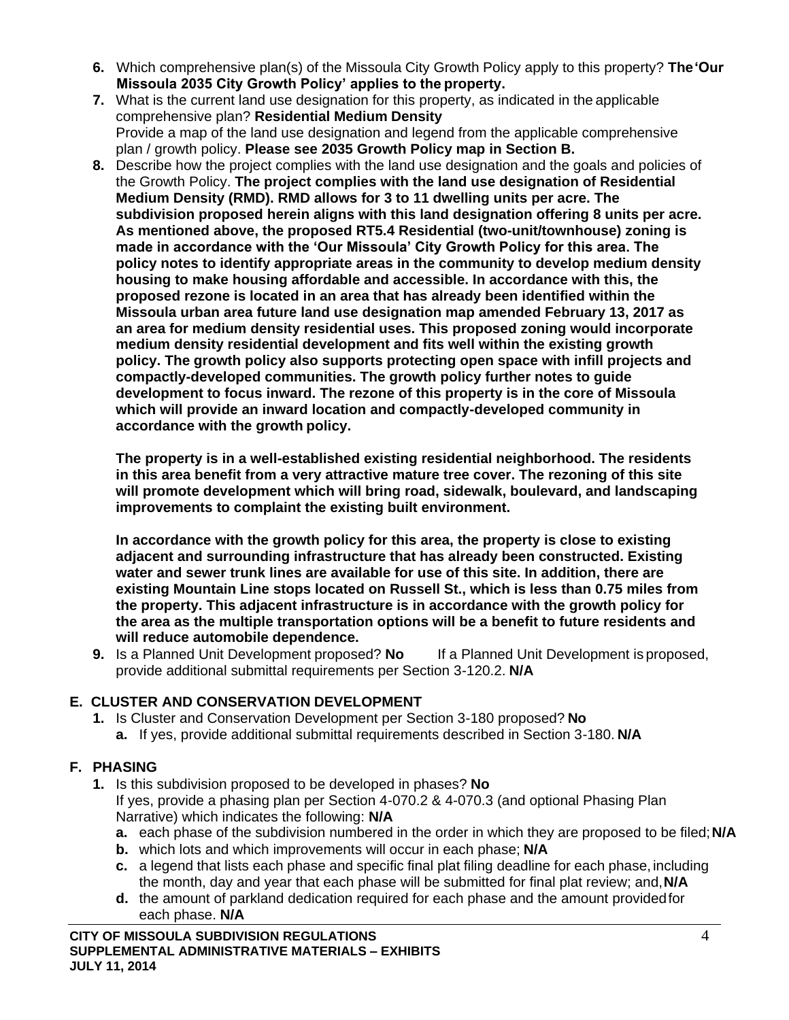- **6.** Which comprehensive plan(s) of the Missoula City Growth Policy apply to this property? **The'Our Missoula 2035 City Growth Policy' applies to the property.**
- **7.** What is the current land use designation for this property, as indicated in the applicable comprehensive plan? **Residential Medium Density** Provide a map of the land use designation and legend from the applicable comprehensive plan / growth policy. **Please see 2035 Growth Policy map in Section B.**
- **8.** Describe how the project complies with the land use designation and the goals and policies of the Growth Policy. **The project complies with the land use designation of Residential Medium Density (RMD). RMD allows for 3 to 11 dwelling units per acre. The subdivision proposed herein aligns with this land designation offering 8 units per acre. As mentioned above, the proposed RT5.4 Residential (two-unit/townhouse) zoning is made in accordance with the 'Our Missoula' City Growth Policy for this area. The policy notes to identify appropriate areas in the community to develop medium density housing to make housing affordable and accessible. In accordance with this, the proposed rezone is located in an area that has already been identified within the Missoula urban area future land use designation map amended February 13, 2017 as an area for medium density residential uses. This proposed zoning would incorporate medium density residential development and fits well within the existing growth policy. The growth policy also supports protecting open space with infill projects and compactly-developed communities. The growth policy further notes to guide development to focus inward. The rezone of this property is in the core of Missoula which will provide an inward location and compactly-developed community in accordance with the growth policy.**

**The property is in a well-established existing residential neighborhood. The residents in this area benefit from a very attractive mature tree cover. The rezoning of this site will promote development which will bring road, sidewalk, boulevard, and landscaping improvements to complaint the existing built environment.**

**In accordance with the growth policy for this area, the property is close to existing adjacent and surrounding infrastructure that has already been constructed. Existing water and sewer trunk lines are available for use of this site. In addition, there are existing Mountain Line stops located on Russell St., which is less than 0.75 miles from the property. This adjacent infrastructure is in accordance with the growth policy for the area as the multiple transportation options will be a benefit to future residents and will reduce automobile dependence.**

**9.** Is a Planned Unit Development proposed? **No** If a Planned Unit Development is proposed, provide additional submittal requirements per Section 3-120.2. **N/A**

## **E. CLUSTER AND CONSERVATION DEVELOPMENT**

**1.** Is Cluster and Conservation Development per Section 3-180 proposed? **No a.** If yes, provide additional submittal requirements described in Section 3-180. **N/A**

# **F. PHASING**

- **1.** Is this subdivision proposed to be developed in phases? **No** If yes, provide a phasing plan per Section 4-070.2 & 4-070.3 (and optional Phasing Plan Narrative) which indicates the following: **N/A**
	- **a.** each phase of the subdivision numbered in the order in which they are proposed to be filed;**N/A**
	- **b.** which lots and which improvements will occur in each phase; **N/A**
	- **c.** a legend that lists each phase and specific final plat filing deadline for each phase, including the month, day and year that each phase will be submitted for final plat review; and,**N/A**
	- **d.** the amount of parkland dedication required for each phase and the amount providedfor each phase. **N/A**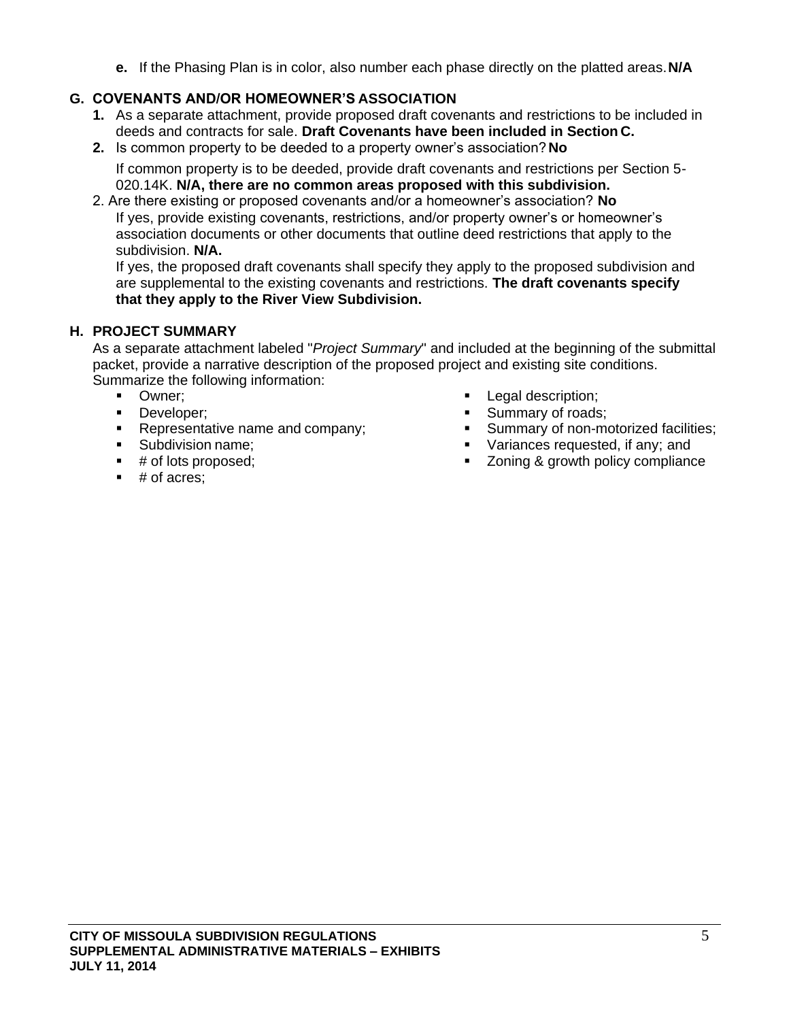**e.** If the Phasing Plan is in color, also number each phase directly on the platted areas.**N/A**

## **G. COVENANTS AND/OR HOMEOWNER'S ASSOCIATION**

- **1.** As a separate attachment, provide proposed draft covenants and restrictions to be included in deeds and contracts for sale. **Draft Covenants have been included in Section C.**
- **2.** Is common property to be deeded to a property owner's association? **No**

If common property is to be deeded, provide draft covenants and restrictions per Section 5- 020.14K. **N/A, there are no common areas proposed with this subdivision.**

2. Are there existing or proposed covenants and/or a homeowner's association? **No** If yes, provide existing covenants, restrictions, and/or property owner's or homeowner's association documents or other documents that outline deed restrictions that apply to the subdivision. **N/A.**

If yes, the proposed draft covenants shall specify they apply to the proposed subdivision and are supplemental to the existing covenants and restrictions. **The draft covenants specify that they apply to the River View Subdivision.**

## **H. PROJECT SUMMARY**

As a separate attachment labeled "*Project Summary*" and included at the beginning of the submittal packet, provide a narrative description of the proposed project and existing site conditions. Summarize the following information:

- Owner:
- Developer:
- Representative name and company;
- Subdivision name;
- # of lots proposed;
- $\blacksquare$  # of acres;
- Legal description;
- Summary of roads;<br>■ Summary of non-me
- Summary of non-motorized facilities;
- Variances requested, if any; and
- Zoning & growth policy compliance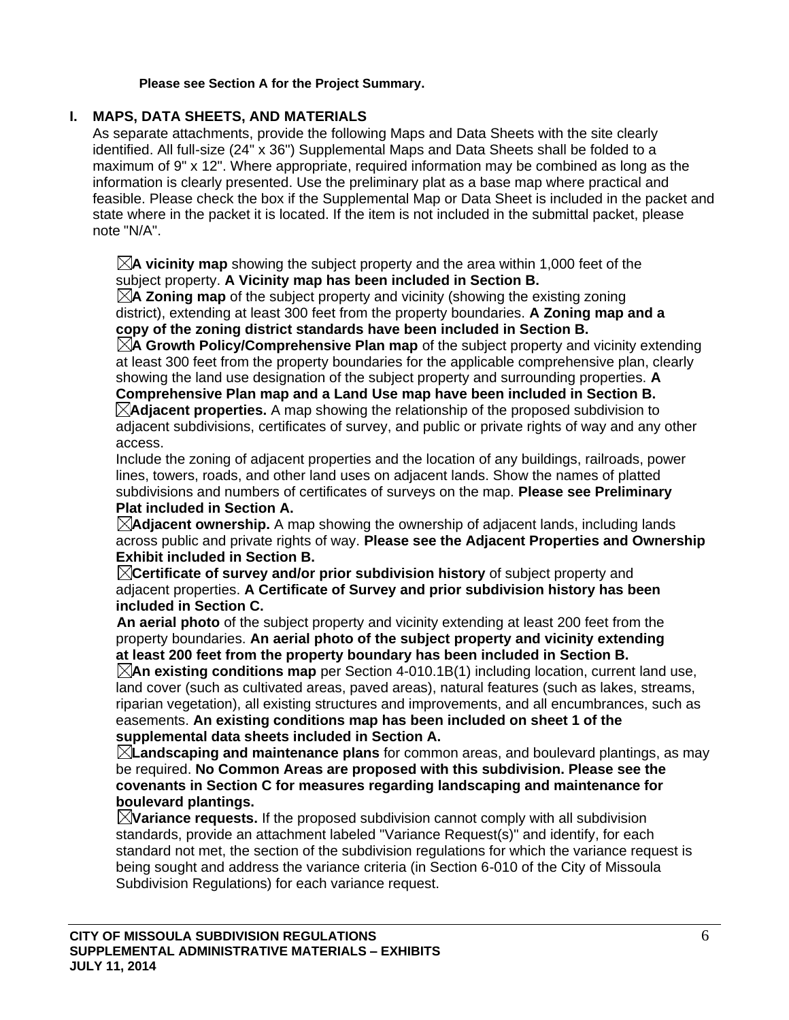#### **Please see Section A for the Project Summary.**

## **I. MAPS, DATA SHEETS, AND MATERIALS**

As separate attachments, provide the following Maps and Data Sheets with the site clearly identified. All full-size (24" x 36") Supplemental Maps and Data Sheets shall be folded to a maximum of 9" x 12". Where appropriate, required information may be combined as long as the information is clearly presented. Use the preliminary plat as a base map where practical and feasible. Please check the box if the Supplemental Map or Data Sheet is included in the packet and state where in the packet it is located. If the item is not included in the submittal packet, please note "N/A".

 $\boxtimes$ **A vicinity map** showing the subject property and the area within 1,000 feet of the subject property. **A Vicinity map has been included in Section B.**

 $\boxtimes$ **A Zoning map** of the subject property and vicinity (showing the existing zoning district), extending at least 300 feet from the property boundaries. **A Zoning map and a copy of the zoning district standards have been included in Section B.**

**A Growth Policy/Comprehensive Plan map** of the subject property and vicinity extending at least 300 feet from the property boundaries for the applicable comprehensive plan, clearly showing the land use designation of the subject property and surrounding properties. **A Comprehensive Plan map and a Land Use map have been included in Section B. Adjacent properties.** A map showing the relationship of the proposed subdivision to adjacent subdivisions, certificates of survey, and public or private rights of way and any other

access.

Include the zoning of adjacent properties and the location of any buildings, railroads, power lines, towers, roads, and other land uses on adjacent lands. Show the names of platted subdivisions and numbers of certificates of surveys on the map. **Please see Preliminary Plat included in Section A.**

**Adjacent ownership.** A map showing the ownership of adjacent lands, including lands across public and private rights of way. **Please see the Adjacent Properties and Ownership Exhibit included in Section B.**

**Certificate of survey and/or prior subdivision history** of subject property and adjacent properties. **A Certificate of Survey and prior subdivision history has been included in Section C.**

**An aerial photo** of the subject property and vicinity extending at least 200 feet from the property boundaries. **An aerial photo of the subject property and vicinity extending at least 200 feet from the property boundary has been included in Section B.**

 $\boxtimes$ **An existing conditions map** per Section 4-010.1B(1) including location, current land use, land cover (such as cultivated areas, paved areas), natural features (such as lakes, streams, riparian vegetation), all existing structures and improvements, and all encumbrances, such as easements. **An existing conditions map has been included on sheet 1 of the supplemental data sheets included in Section A.**

**Landscaping and maintenance plans** for common areas, and boulevard plantings, as may be required. **No Common Areas are proposed with this subdivision. Please see the covenants in Section C for measures regarding landscaping and maintenance for boulevard plantings.**

 $\mathbb{\times}$ **Variance requests.** If the proposed subdivision cannot comply with all subdivision standards, provide an attachment labeled "Variance Request(s)" and identify, for each standard not met, the section of the subdivision regulations for which the variance request is being sought and address the variance criteria (in Section 6-010 of the City of Missoula Subdivision Regulations) for each variance request.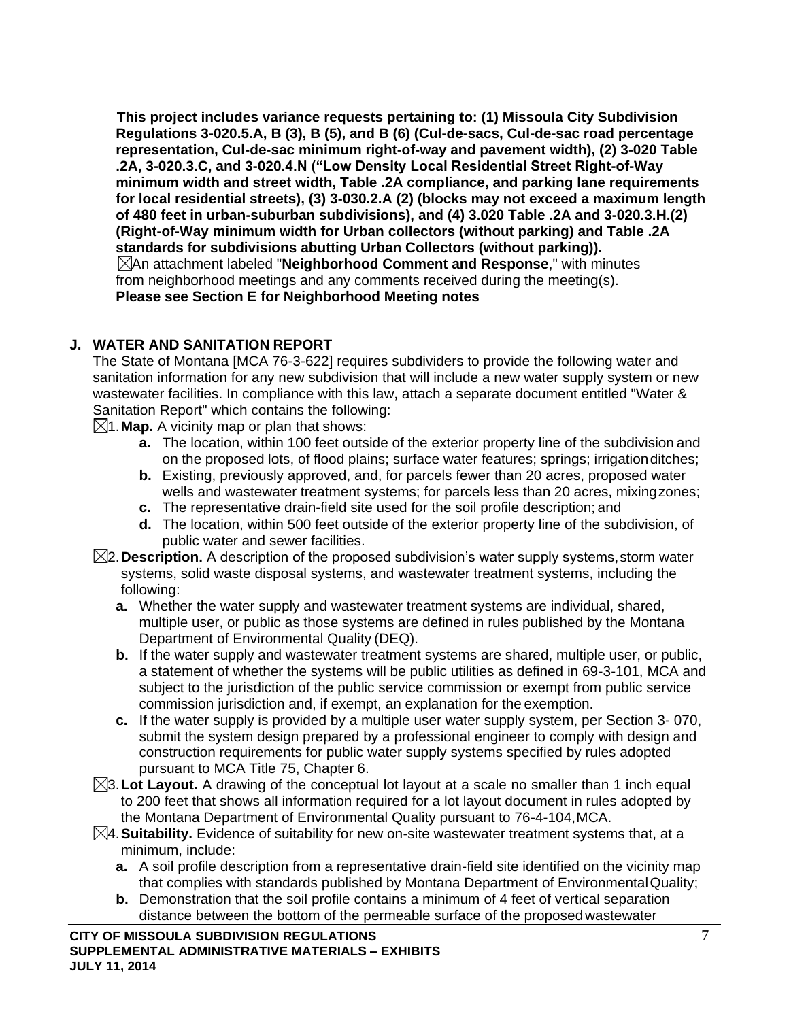**This project includes variance requests pertaining to: (1) Missoula City Subdivision Regulations 3-020.5.A, B (3), B (5), and B (6) (Cul-de-sacs, Cul-de-sac road percentage representation, Cul-de-sac minimum right-of-way and pavement width), (2) 3-020 Table .2A, 3-020.3.C, and 3-020.4.N ("Low Density Local Residential Street Right-of-Way minimum width and street width, Table .2A compliance, and parking lane requirements for local residential streets), (3) 3-030.2.A (2) (blocks may not exceed a maximum length of 480 feet in urban-suburban subdivisions), and (4) 3.020 Table .2A and 3-020.3.H.(2) (Right-of-Way minimum width for Urban collectors (without parking) and Table .2A standards for subdivisions abutting Urban Collectors (without parking)).** An attachment labeled "**Neighborhood Comment and Response**," with minutes from neighborhood meetings and any comments received during the meeting(s). **Please see Section E for Neighborhood Meeting notes**

## **J. WATER AND SANITATION REPORT**

The State of Montana [MCA 76-3-622] requires subdividers to provide the following water and sanitation information for any new subdivision that will include a new water supply system or new wastewater facilities. In compliance with this law, attach a separate document entitled "Water & Sanitation Report" which contains the following:

 $\boxtimes$ 1. **Map.** A vicinity map or plan that shows:

- **a.** The location, within 100 feet outside of the exterior property line of the subdivision and on the proposed lots, of flood plains; surface water features; springs; irrigationditches;
- **b.** Existing, previously approved, and, for parcels fewer than 20 acres, proposed water wells and wastewater treatment systems; for parcels less than 20 acres, mixingzones;
- **c.** The representative drain-field site used for the soil profile description; and
- **d.** The location, within 500 feet outside of the exterior property line of the subdivision, of public water and sewer facilities.
- 2.**Description.** A description of the proposed subdivision's water supply systems,storm water systems, solid waste disposal systems, and wastewater treatment systems, including the following:
	- **a.** Whether the water supply and wastewater treatment systems are individual, shared, multiple user, or public as those systems are defined in rules published by the Montana Department of Environmental Quality (DEQ).
	- **b.** If the water supply and wastewater treatment systems are shared, multiple user, or public, a statement of whether the systems will be public utilities as defined in 69-3-101, MCA and subject to the jurisdiction of the public service commission or exempt from public service commission jurisdiction and, if exempt, an explanation for the exemption.
	- **c.** If the water supply is provided by a multiple user water supply system, per Section 3- 070, submit the system design prepared by a professional engineer to comply with design and construction requirements for public water supply systems specified by rules adopted pursuant to MCA Title 75, Chapter 6.
- $\boxtimes$ 3. Lot Layout. A drawing of the conceptual lot layout at a scale no smaller than 1 inch equal to 200 feet that shows all information required for a lot layout document in rules adopted by the Montana Department of Environmental Quality pursuant to 76-4-104,MCA.
- 4.**Suitability.** Evidence of suitability for new on-site wastewater treatment systems that, at a minimum, include:
	- **a.** A soil profile description from a representative drain-field site identified on the vicinity map that complies with standards published by Montana Department of EnvironmentalQuality;
	- **b.** Demonstration that the soil profile contains a minimum of 4 feet of vertical separation distance between the bottom of the permeable surface of the proposedwastewater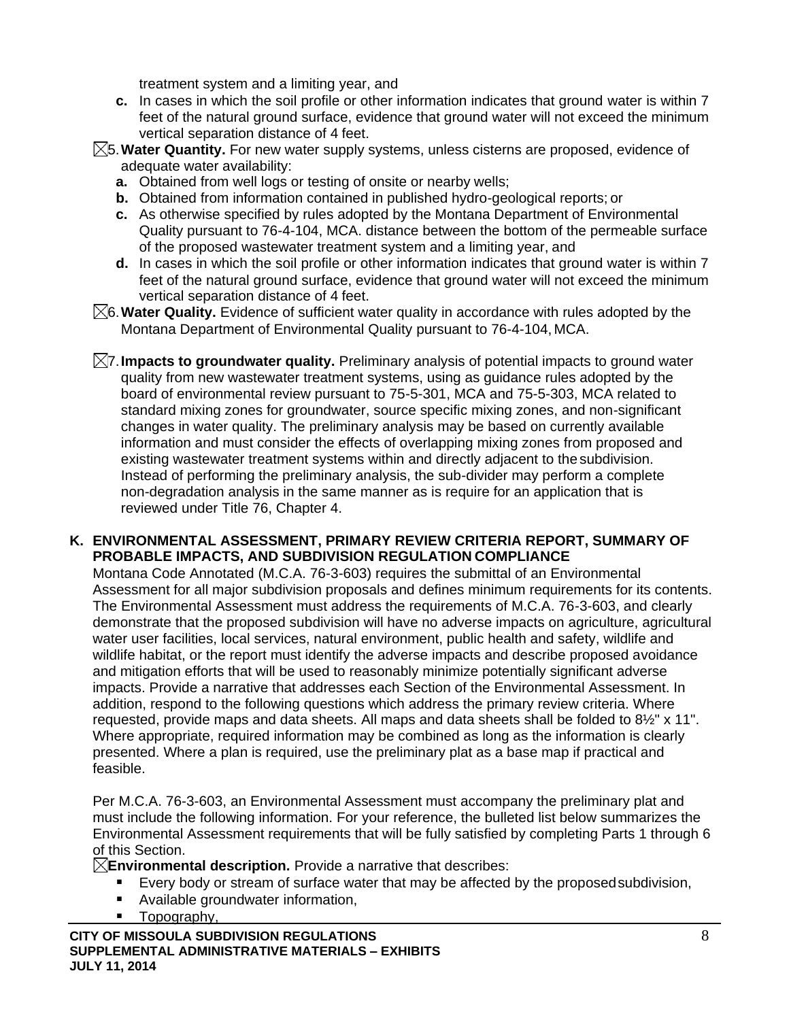treatment system and a limiting year, and

- **c.** In cases in which the soil profile or other information indicates that ground water is within 7 feet of the natural ground surface, evidence that ground water will not exceed the minimum vertical separation distance of 4 feet.
- 5.**Water Quantity.** For new water supply systems, unless cisterns are proposed, evidence of adequate water availability:
	- **a.** Obtained from well logs or testing of onsite or nearby wells;
	- **b.** Obtained from information contained in published hydro-geological reports; or
	- **c.** As otherwise specified by rules adopted by the Montana Department of Environmental Quality pursuant to 76-4-104, MCA. distance between the bottom of the permeable surface of the proposed wastewater treatment system and a limiting year, and
	- **d.** In cases in which the soil profile or other information indicates that ground water is within 7 feet of the natural ground surface, evidence that ground water will not exceed the minimum vertical separation distance of 4 feet.
- 6.**Water Quality.** Evidence of sufficient water quality in accordance with rules adopted by the Montana Department of Environmental Quality pursuant to 76-4-104, MCA.
- 7.**Impacts to groundwater quality.** Preliminary analysis of potential impacts to ground water quality from new wastewater treatment systems, using as guidance rules adopted by the board of environmental review pursuant to 75-5-301, MCA and 75-5-303, MCA related to standard mixing zones for groundwater, source specific mixing zones, and non-significant changes in water quality. The preliminary analysis may be based on currently available information and must consider the effects of overlapping mixing zones from proposed and existing wastewater treatment systems within and directly adjacent to the subdivision. Instead of performing the preliminary analysis, the sub-divider may perform a complete non-degradation analysis in the same manner as is require for an application that is reviewed under Title 76, Chapter 4.

### **K. ENVIRONMENTAL ASSESSMENT, PRIMARY REVIEW CRITERIA REPORT, SUMMARY OF PROBABLE IMPACTS, AND SUBDIVISION REGULATION COMPLIANCE**

Montana Code Annotated (M.C.A. 76-3-603) requires the submittal of an Environmental Assessment for all major subdivision proposals and defines minimum requirements for its contents. The Environmental Assessment must address the requirements of M.C.A. 76-3-603, and clearly demonstrate that the proposed subdivision will have no adverse impacts on agriculture, agricultural water user facilities, local services, natural environment, public health and safety, wildlife and wildlife habitat, or the report must identify the adverse impacts and describe proposed avoidance and mitigation efforts that will be used to reasonably minimize potentially significant adverse impacts. Provide a narrative that addresses each Section of the Environmental Assessment. In addition, respond to the following questions which address the primary review criteria. Where requested, provide maps and data sheets. All maps and data sheets shall be folded to 8½" x 11". Where appropriate, required information may be combined as long as the information is clearly presented. Where a plan is required, use the preliminary plat as a base map if practical and feasible.

Per M.C.A. 76-3-603, an Environmental Assessment must accompany the preliminary plat and must include the following information. For your reference, the bulleted list below summarizes the Environmental Assessment requirements that will be fully satisfied by completing Parts 1 through 6 of this Section.

**Environmental description.** Provide a narrative that describes:

- Every body or stream of surface water that may be affected by the proposed subdivision,
- Available groundwater information,
- Topography,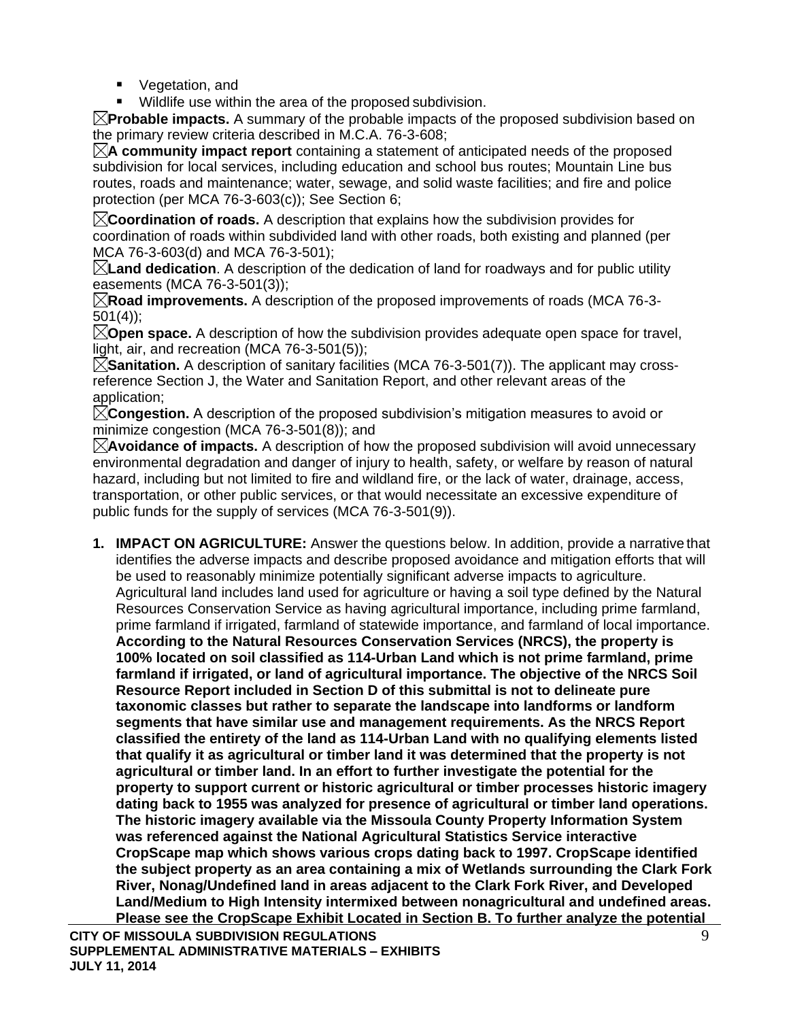- Vegetation, and
- Wildlife use within the area of the proposed subdivision.

**Probable impacts.** A summary of the probable impacts of the proposed subdivision based on the primary review criteria described in M.C.A. 76-3-608;

**A community impact report** containing a statement of anticipated needs of the proposed subdivision for local services, including education and school bus routes; Mountain Line bus routes, roads and maintenance; water, sewage, and solid waste facilities; and fire and police protection (per MCA 76-3-603(c)); See Section 6;

**Coordination of roads.** A description that explains how the subdivision provides for coordination of roads within subdivided land with other roads, both existing and planned (per MCA 76-3-603(d) and MCA 76-3-501);

**Land dedication**. A description of the dedication of land for roadways and for public utility easements (MCA 76-3-501(3));

**Road improvements.** A description of the proposed improvements of roads (MCA 76-3- 501(4));

**Open space.** A description of how the subdivision provides adequate open space for travel, light, air, and recreation (MCA 76-3-501(5));

 $\boxtimes$ **Sanitation.** A description of sanitary facilities (MCA 76-3-501(7)). The applicant may crossreference Section J, the Water and Sanitation Report, and other relevant areas of the application;

**Congestion.** A description of the proposed subdivision's mitigation measures to avoid or minimize congestion (MCA 76-3-501(8)); and

**Avoidance of impacts.** A description of how the proposed subdivision will avoid unnecessary environmental degradation and danger of injury to health, safety, or welfare by reason of natural hazard, including but not limited to fire and wildland fire, or the lack of water, drainage, access, transportation, or other public services, or that would necessitate an excessive expenditure of public funds for the supply of services (MCA 76-3-501(9)).

**CITY OF MISSOULA SUBDIVISION REGULATIONS** 9 **1. IMPACT ON AGRICULTURE:** Answer the questions below. In addition, provide a narrative that identifies the adverse impacts and describe proposed avoidance and mitigation efforts that will be used to reasonably minimize potentially significant adverse impacts to agriculture. Agricultural land includes land used for agriculture or having a soil type defined by the Natural Resources Conservation Service as having agricultural importance, including prime farmland, prime farmland if irrigated, farmland of statewide importance, and farmland of local importance. **According to the Natural Resources Conservation Services (NRCS), the property is 100% located on soil classified as 114-Urban Land which is not prime farmland, prime farmland if irrigated, or land of agricultural importance. The objective of the NRCS Soil Resource Report included in Section D of this submittal is not to delineate pure taxonomic classes but rather to separate the landscape into landforms or landform segments that have similar use and management requirements. As the NRCS Report classified the entirety of the land as 114-Urban Land with no qualifying elements listed that qualify it as agricultural or timber land it was determined that the property is not agricultural or timber land. In an effort to further investigate the potential for the property to support current or historic agricultural or timber processes historic imagery dating back to 1955 was analyzed for presence of agricultural or timber land operations. The historic imagery available via the Missoula County Property Information System was referenced against the National Agricultural Statistics Service interactive CropScape map which shows various crops dating back to 1997. CropScape identified the subject property as an area containing a mix of Wetlands surrounding the Clark Fork River, Nonag/Undefined land in areas adjacent to the Clark Fork River, and Developed Land/Medium to High Intensity intermixed between nonagricultural and undefined areas. Please see the CropScape Exhibit Located in Section B. To further analyze the potential**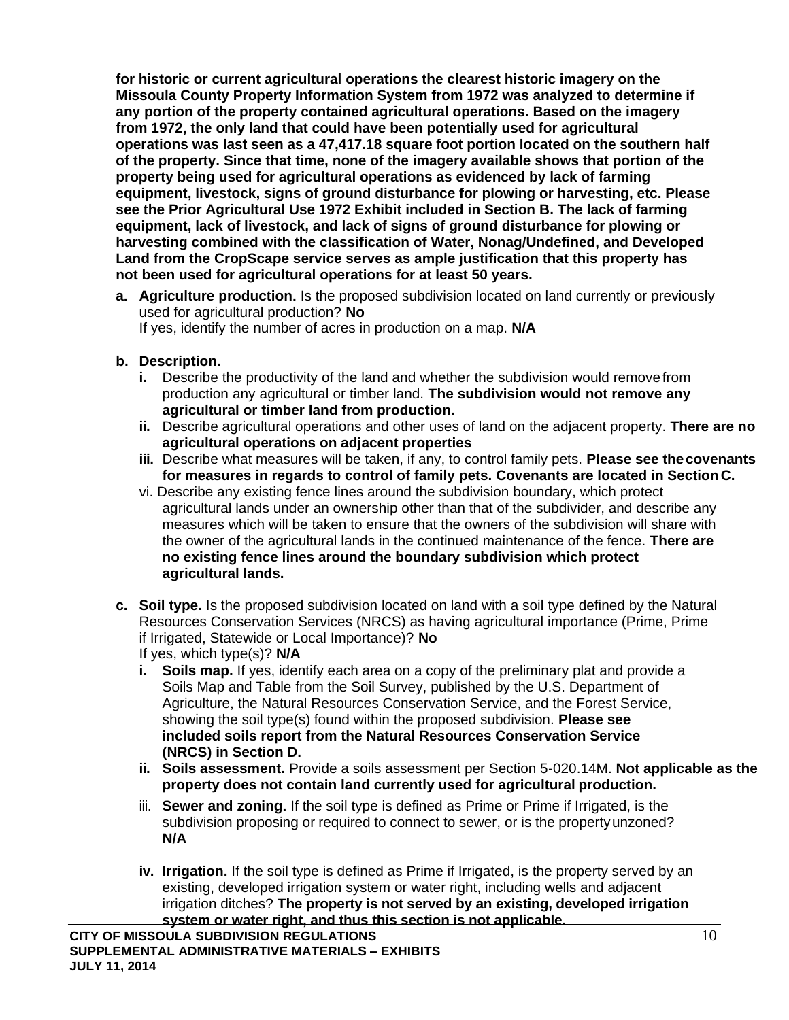**for historic or current agricultural operations the clearest historic imagery on the Missoula County Property Information System from 1972 was analyzed to determine if any portion of the property contained agricultural operations. Based on the imagery from 1972, the only land that could have been potentially used for agricultural operations was last seen as a 47,417.18 square foot portion located on the southern half of the property. Since that time, none of the imagery available shows that portion of the property being used for agricultural operations as evidenced by lack of farming equipment, livestock, signs of ground disturbance for plowing or harvesting, etc. Please see the Prior Agricultural Use 1972 Exhibit included in Section B. The lack of farming equipment, lack of livestock, and lack of signs of ground disturbance for plowing or harvesting combined with the classification of Water, Nonag/Undefined, and Developed Land from the CropScape service serves as ample justification that this property has not been used for agricultural operations for at least 50 years.**

- **a. Agriculture production.** Is the proposed subdivision located on land currently or previously used for agricultural production? **No** If yes, identify the number of acres in production on a map. **N/A**
- **b. Description.**
	- **i.** Describe the productivity of the land and whether the subdivision would removefrom production any agricultural or timber land. **The subdivision would not remove any agricultural or timber land from production.**
	- **ii.** Describe agricultural operations and other uses of land on the adjacent property. **There are no agricultural operations on adjacent properties**
	- **iii.** Describe what measures will be taken, if any, to control family pets. **Please see thecovenants for measures in regards to control of family pets. Covenants are located in Section C.**
	- vi. Describe any existing fence lines around the subdivision boundary, which protect agricultural lands under an ownership other than that of the subdivider, and describe any measures which will be taken to ensure that the owners of the subdivision will share with the owner of the agricultural lands in the continued maintenance of the fence. **There are no existing fence lines around the boundary subdivision which protect agricultural lands.**
- **c. Soil type.** Is the proposed subdivision located on land with a soil type defined by the Natural Resources Conservation Services (NRCS) as having agricultural importance (Prime, Prime if Irrigated, Statewide or Local Importance)? **No** If yes, which type(s)? **N/A**
	- **i. Soils map.** If yes, identify each area on a copy of the preliminary plat and provide a Soils Map and Table from the Soil Survey, published by the U.S. Department of Agriculture, the Natural Resources Conservation Service, and the Forest Service, showing the soil type(s) found within the proposed subdivision. **Please see included soils report from the Natural Resources Conservation Service (NRCS) in Section D.**
	- **ii. Soils assessment.** Provide a soils assessment per Section 5-020.14M. **Not applicable as the property does not contain land currently used for agricultural production.**
	- iii. **Sewer and zoning.** If the soil type is defined as Prime or Prime if Irrigated, is the subdivision proposing or required to connect to sewer, or is the propertyunzoned? **N/A**
	- **iv. Irrigation.** If the soil type is defined as Prime if Irrigated, is the property served by an existing, developed irrigation system or water right, including wells and adjacent irrigation ditches? **The property is not served by an existing, developed irrigation system or water right, and thus this section is not applicable.**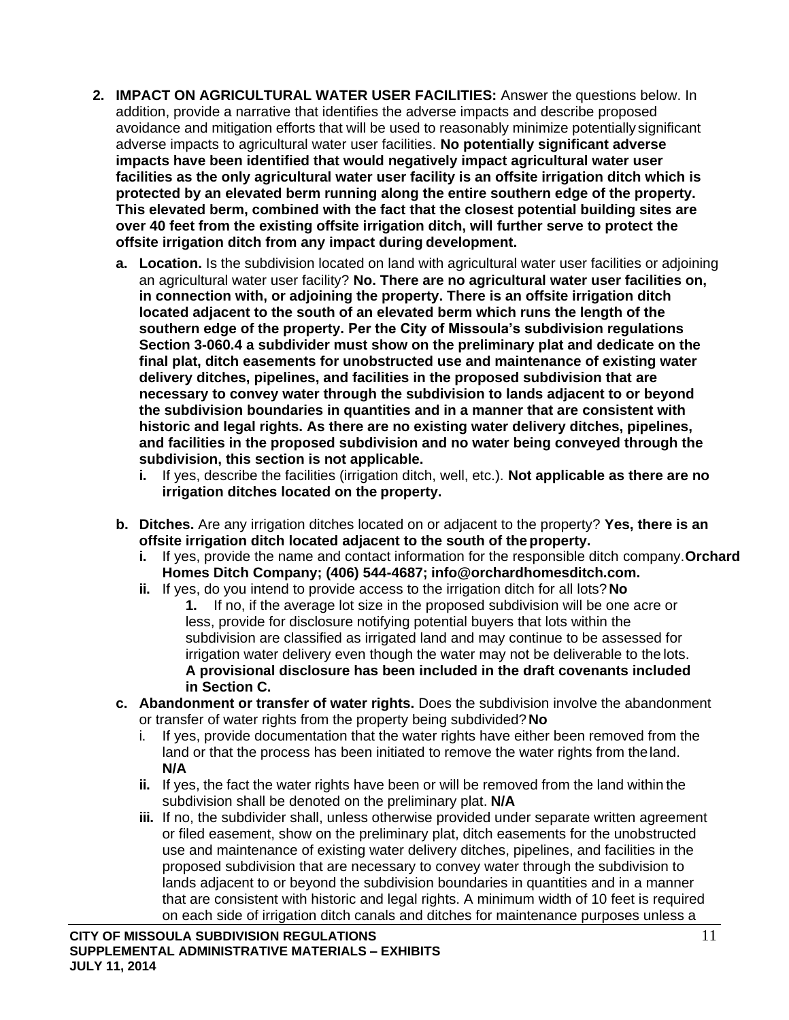- **2. IMPACT ON AGRICULTURAL WATER USER FACILITIES:** Answer the questions below. In addition, provide a narrative that identifies the adverse impacts and describe proposed avoidance and mitigation efforts that will be used to reasonably minimize potentially significant adverse impacts to agricultural water user facilities. **No potentially significant adverse impacts have been identified that would negatively impact agricultural water user facilities as the only agricultural water user facility is an offsite irrigation ditch which is protected by an elevated berm running along the entire southern edge of the property. This elevated berm, combined with the fact that the closest potential building sites are over 40 feet from the existing offsite irrigation ditch, will further serve to protect the offsite irrigation ditch from any impact during development.**
	- **a. Location.** Is the subdivision located on land with agricultural water user facilities or adjoining an agricultural water user facility? **No. There are no agricultural water user facilities on, in connection with, or adjoining the property. There is an offsite irrigation ditch located adjacent to the south of an elevated berm which runs the length of the southern edge of the property. Per the City of Missoula's subdivision regulations Section 3-060.4 a subdivider must show on the preliminary plat and dedicate on the final plat, ditch easements for unobstructed use and maintenance of existing water delivery ditches, pipelines, and facilities in the proposed subdivision that are necessary to convey water through the subdivision to lands adjacent to or beyond the subdivision boundaries in quantities and in a manner that are consistent with historic and legal rights. As there are no existing water delivery ditches, pipelines, and facilities in the proposed subdivision and no water being conveyed through the subdivision, this section is not applicable.**
		- **i.** If yes, describe the facilities (irrigation ditch, well, etc.). **Not applicable as there are no irrigation ditches located on the property.**
	- **b. Ditches.** Are any irrigation ditches located on or adjacent to the property? **Yes, there is an offsite irrigation ditch located adjacent to the south of the property.**
		- **i.** If yes, provide the name and contact information for the responsible ditch company.**Orchard Homes Ditch Company; (406) 544-4687; [info@orchardhomesditch.com.](mailto:info@orchardhomesditch.com)**
		- **ii.** If yes, do you intend to provide access to the irrigation ditch for all lots?**No**
			- **1.** If no, if the average lot size in the proposed subdivision will be one acre or less, provide for disclosure notifying potential buyers that lots within the subdivision are classified as irrigated land and may continue to be assessed for irrigation water delivery even though the water may not be deliverable to the lots. **A provisional disclosure has been included in the draft covenants included in Section C.**
	- **c. Abandonment or transfer of water rights.** Does the subdivision involve the abandonment or transfer of water rights from the property being subdivided?**No**
		- i. If yes, provide documentation that the water rights have either been removed from the land or that the process has been initiated to remove the water rights from theland. **N/A**
		- **ii.** If yes, the fact the water rights have been or will be removed from the land within the subdivision shall be denoted on the preliminary plat. **N/A**
		- **iii.** If no, the subdivider shall, unless otherwise provided under separate written agreement or filed easement, show on the preliminary plat, ditch easements for the unobstructed use and maintenance of existing water delivery ditches, pipelines, and facilities in the proposed subdivision that are necessary to convey water through the subdivision to lands adjacent to or beyond the subdivision boundaries in quantities and in a manner that are consistent with historic and legal rights. A minimum width of 10 feet is required on each side of irrigation ditch canals and ditches for maintenance purposes unless a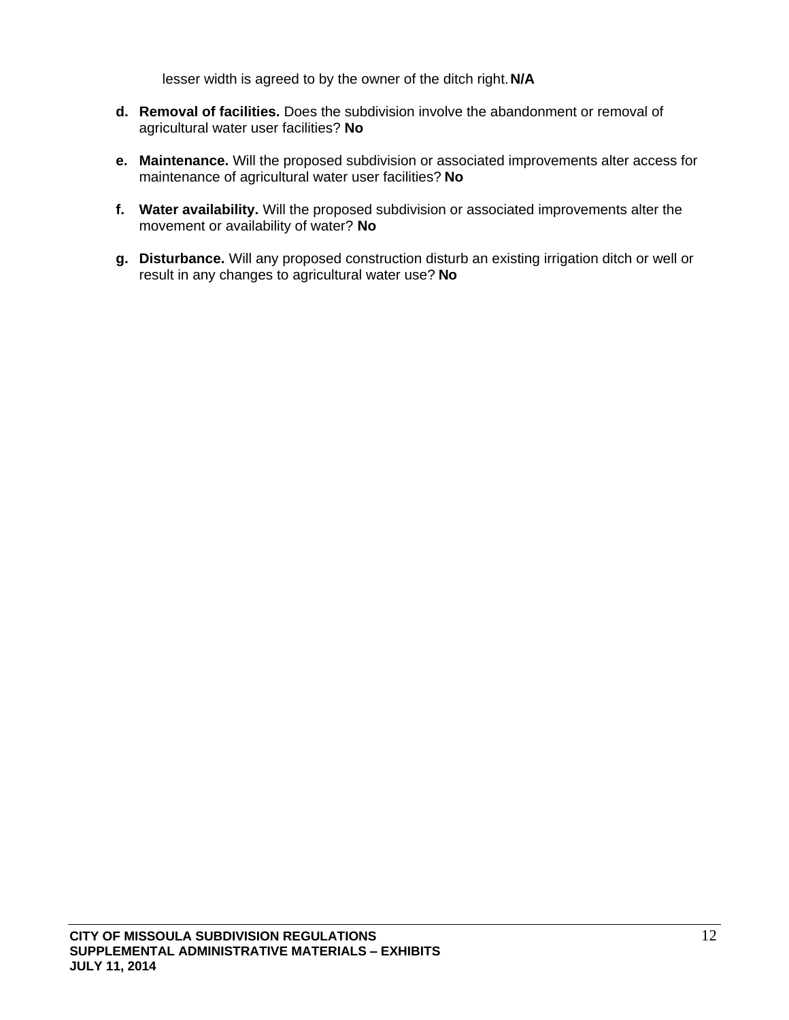lesser width is agreed to by the owner of the ditch right.**N/A**

- **d. Removal of facilities.** Does the subdivision involve the abandonment or removal of agricultural water user facilities? **No**
- **e. Maintenance.** Will the proposed subdivision or associated improvements alter access for maintenance of agricultural water user facilities? **No**
- **f. Water availability.** Will the proposed subdivision or associated improvements alter the movement or availability of water? **No**
- **g. Disturbance.** Will any proposed construction disturb an existing irrigation ditch or well or result in any changes to agricultural water use? **No**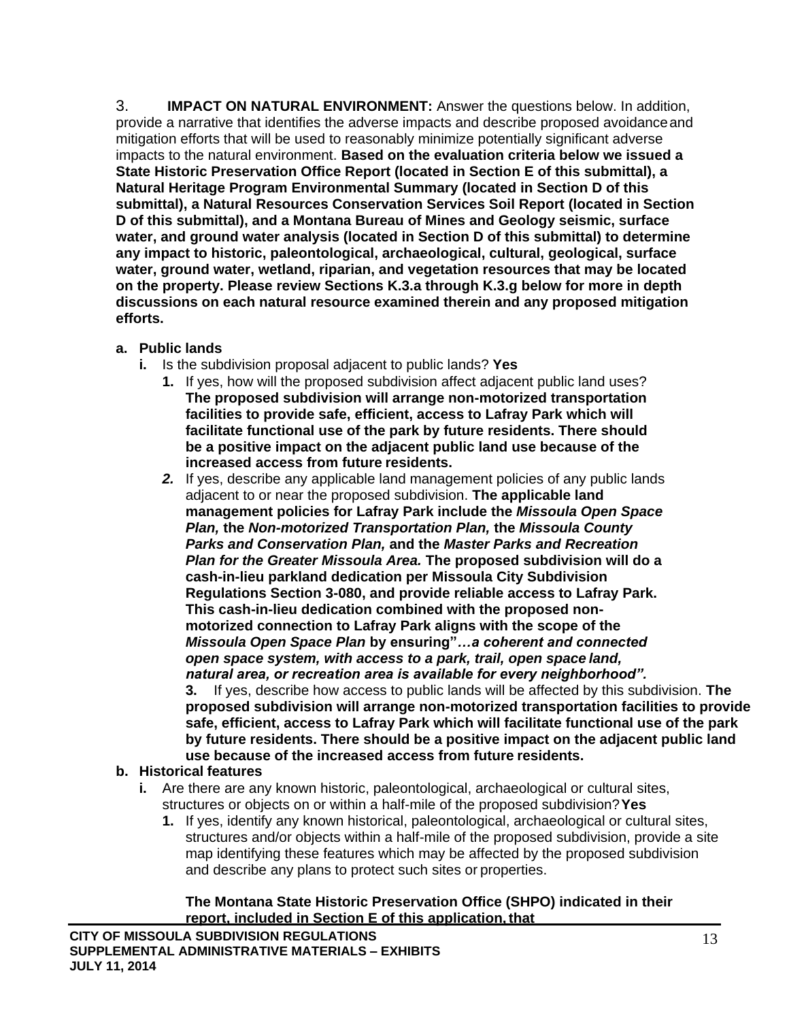3. **IMPACT ON NATURAL ENVIRONMENT:** Answer the questions below. In addition, provide a narrative that identifies the adverse impacts and describe proposed avoidanceand mitigation efforts that will be used to reasonably minimize potentially significant adverse impacts to the natural environment. **Based on the evaluation criteria below we issued a State Historic Preservation Office Report (located in Section E of this submittal), a Natural Heritage Program Environmental Summary (located in Section D of this submittal), a Natural Resources Conservation Services Soil Report (located in Section D of this submittal), and a Montana Bureau of Mines and Geology seismic, surface water, and ground water analysis (located in Section D of this submittal) to determine any impact to historic, paleontological, archaeological, cultural, geological, surface water, ground water, wetland, riparian, and vegetation resources that may be located on the property. Please review Sections K.3.a through K.3.g below for more in depth discussions on each natural resource examined therein and any proposed mitigation efforts.**

- **a. Public lands**
	- **i.** Is the subdivision proposal adjacent to public lands? **Yes**
		- **1.** If yes, how will the proposed subdivision affect adjacent public land uses? **The proposed subdivision will arrange non-motorized transportation facilities to provide safe, efficient, access to Lafray Park which will facilitate functional use of the park by future residents. There should be a positive impact on the adjacent public land use because of the increased access from future residents.**
		- *2.* If yes, describe any applicable land management policies of any public lands adjacent to or near the proposed subdivision. **The applicable land management policies for Lafray Park include the** *Missoula Open Space Plan,* **the** *Non-motorized Transportation Plan,* **the** *Missoula County Parks and Conservation Plan,* **and the** *Master Parks and Recreation Plan for the Greater Missoula Area.* **The proposed subdivision will do a cash-in-lieu parkland dedication per Missoula City Subdivision Regulations Section 3-080, and provide reliable access to Lafray Park. This cash-in-lieu dedication combined with the proposed nonmotorized connection to Lafray Park aligns with the scope of the**  *Missoula Open Space Plan* **by ensuring"***…a coherent and connected open space system, with access to a park, trail, open space land, natural area, or recreation area is available for every neighborhood".*

**3.** If yes, describe how access to public lands will be affected by this subdivision. **The proposed subdivision will arrange non-motorized transportation facilities to provide safe, efficient, access to Lafray Park which will facilitate functional use of the park by future residents. There should be a positive impact on the adjacent public land use because of the increased access from future residents.**

## **b. Historical features**

- **i.** Are there are any known historic, paleontological, archaeological or cultural sites, structures or objects on or within a half-mile of the proposed subdivision?**Yes**
	- **1.** If yes, identify any known historical, paleontological, archaeological or cultural sites, structures and/or objects within a half-mile of the proposed subdivision, provide a site map identifying these features which may be affected by the proposed subdivision and describe any plans to protect such sites or properties.

## **The Montana State Historic Preservation Office (SHPO) indicated in their report, included in Section E of this application,that**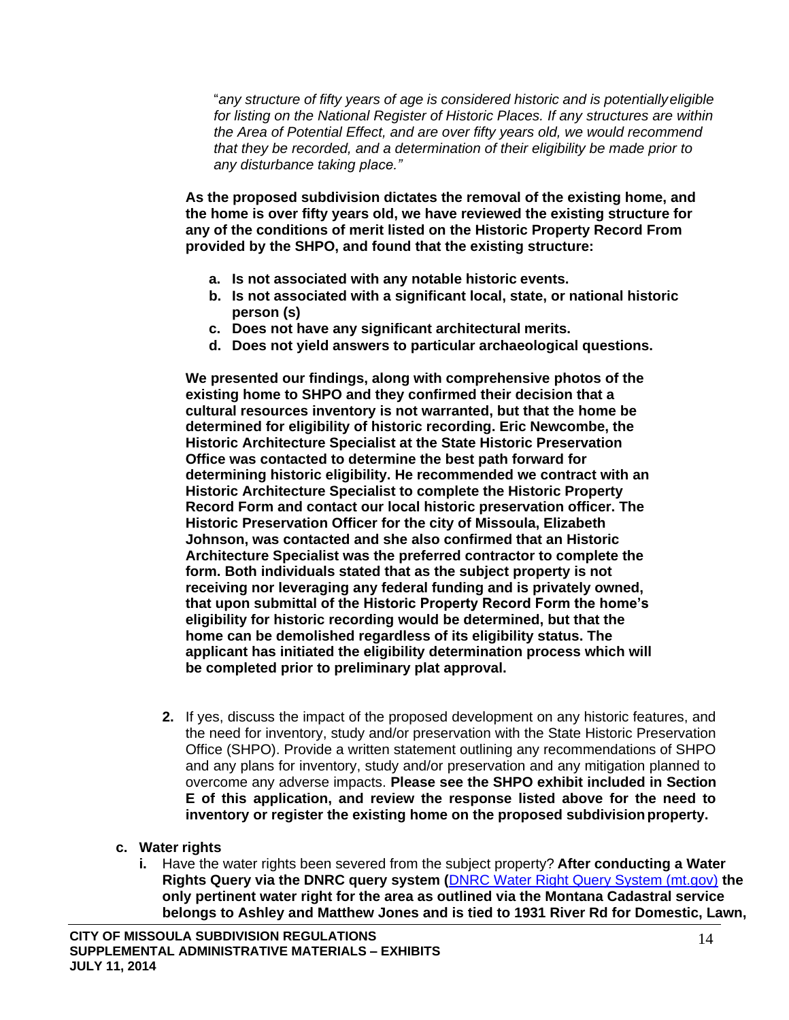"*any structure of fifty years of age is considered historic and is potentiallyeligible for listing on the National Register of Historic Places. If any structures are within the Area of Potential Effect, and are over fifty years old, we would recommend that they be recorded, and a determination of their eligibility be made prior to any disturbance taking place."*

**As the proposed subdivision dictates the removal of the existing home, and the home is over fifty years old, we have reviewed the existing structure for any of the conditions of merit listed on the Historic Property Record From provided by the SHPO, and found that the existing structure:**

- **a. Is not associated with any notable historic events.**
- **b. Is not associated with a significant local, state, or national historic person (s)**
- **c. Does not have any significant architectural merits.**
- **d. Does not yield answers to particular archaeological questions.**

**We presented our findings, along with comprehensive photos of the existing home to SHPO and they confirmed their decision that a cultural resources inventory is not warranted, but that the home be determined for eligibility of historic recording. Eric Newcombe, the Historic Architecture Specialist at the State Historic Preservation Office was contacted to determine the best path forward for determining historic eligibility. He recommended we contract with an Historic Architecture Specialist to complete the Historic Property Record Form and contact our local historic preservation officer. The Historic Preservation Officer for the city of Missoula, Elizabeth Johnson, was contacted and she also confirmed that an Historic Architecture Specialist was the preferred contractor to complete the form. Both individuals stated that as the subject property is not receiving nor leveraging any federal funding and is privately owned, that upon submittal of the Historic Property Record Form the home's eligibility for historic recording would be determined, but that the home can be demolished regardless of its eligibility status. The applicant has initiated the eligibility determination process which will be completed prior to preliminary plat approval.**

- **2.** If yes, discuss the impact of the proposed development on any historic features, and the need for inventory, study and/or preservation with the State Historic Preservation Office (SHPO). Provide a written statement outlining any recommendations of SHPO and any plans for inventory, study and/or preservation and any mitigation planned to overcome any adverse impacts. **Please see the SHPO exhibit included in Section E of this application, and review the response listed above for the need to inventory or register the existing home on the proposed subdivisionproperty.**
- **c. Water rights**
	- **i.** Have the water rights been severed from the subject property? **After conducting a Water Rights Query via the DNRC query system (**DNRC [Water Right Query System \(mt.gov\)](http://wrqs.dnrc.mt.gov/default.aspx) **the only pertinent water right for the area as outlined via the Montana Cadastral service belongs to Ashley and Matthew Jones and is tied to 1931 River Rd for Domestic, Lawn,**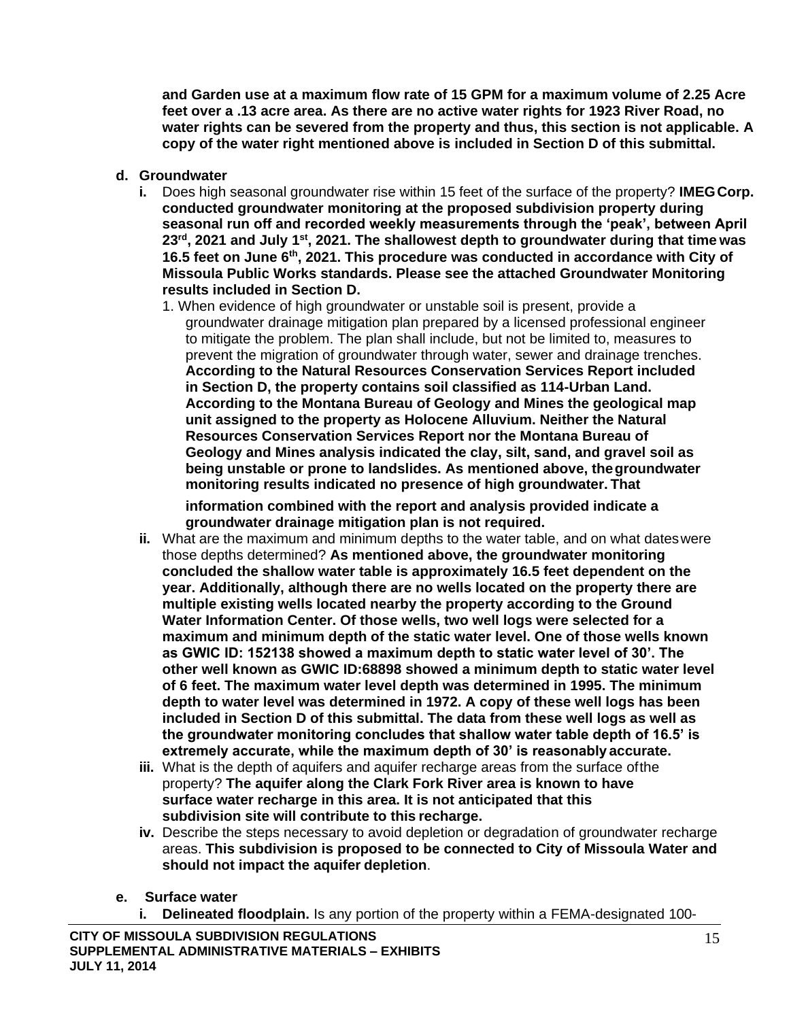**and Garden use at a maximum flow rate of 15 GPM for a maximum volume of 2.25 Acre feet over a .13 acre area. As there are no active water rights for 1923 River Road, no water rights can be severed from the property and thus, this section is not applicable. A copy of the water right mentioned above is included in Section D of this submittal.**

- **d. Groundwater**
	- **i.** Does high seasonal groundwater rise within 15 feet of the surface of the property? **IMEGCorp. conducted groundwater monitoring at the proposed subdivision property during seasonal run off and recorded weekly measurements through the 'peak', between April 23rd, 2021 and July 1st, 2021. The shallowest depth to groundwater during that time was 16.5 feet on June 6th, 2021. This procedure was conducted in accordance with City of Missoula Public Works standards. Please see the attached Groundwater Monitoring results included in Section D.**
		- 1. When evidence of high groundwater or unstable soil is present, provide a groundwater drainage mitigation plan prepared by a licensed professional engineer to mitigate the problem. The plan shall include, but not be limited to, measures to prevent the migration of groundwater through water, sewer and drainage trenches. **According to the Natural Resources Conservation Services Report included in Section D, the property contains soil classified as 114-Urban Land. According to the Montana Bureau of Geology and Mines the geological map unit assigned to the property as Holocene Alluvium. Neither the Natural Resources Conservation Services Report nor the Montana Bureau of Geology and Mines analysis indicated the clay, silt, sand, and gravel soil as being unstable or prone to landslides. As mentioned above, thegroundwater monitoring results indicated no presence of high groundwater. That**

**information combined with the report and analysis provided indicate a groundwater drainage mitigation plan is not required.**

- **ii.** What are the maximum and minimum depths to the water table, and on what dateswere those depths determined? **As mentioned above, the groundwater monitoring concluded the shallow water table is approximately 16.5 feet dependent on the year. Additionally, although there are no wells located on the property there are multiple existing wells located nearby the property according to the Ground Water Information Center. Of those wells, two well logs were selected for a maximum and minimum depth of the static water level. One of those wells known as GWIC ID: 152138 showed a maximum depth to static water level of 30'. The other well known as GWIC ID:68898 showed a minimum depth to static water level of 6 feet. The maximum water level depth was determined in 1995. The minimum depth to water level was determined in 1972. A copy of these well logs has been included in Section D of this submittal. The data from these well logs as well as the groundwater monitoring concludes that shallow water table depth of 16.5' is extremely accurate, while the maximum depth of 30' is reasonably accurate.**
- **iii.** What is the depth of aquifers and aquifer recharge areas from the surface ofthe property? **The aquifer along the Clark Fork River area is known to have surface water recharge in this area. It is not anticipated that this subdivision site will contribute to this recharge.**
- **iv.** Describe the steps necessary to avoid depletion or degradation of groundwater recharge areas. **This subdivision is proposed to be connected to City of Missoula Water and should not impact the aquifer depletion**.
- **e. Surface water**
	- **i. Delineated floodplain.** Is any portion of the property within a FEMA-designated 100-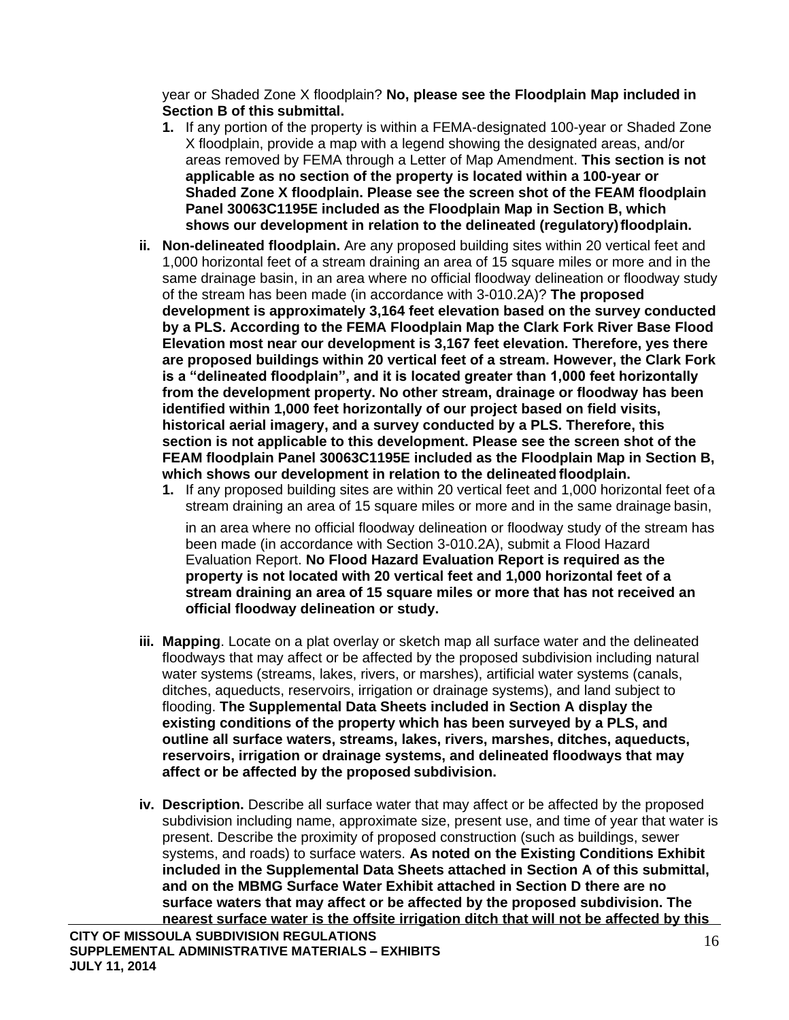year or Shaded Zone X floodplain? **No, please see the Floodplain Map included in Section B of this submittal.**

- **1.** If any portion of the property is within a FEMA-designated 100-year or Shaded Zone X floodplain, provide a map with a legend showing the designated areas, and/or areas removed by FEMA through a Letter of Map Amendment. **This section is not applicable as no section of the property is located within a 100-year or Shaded Zone X floodplain. Please see the screen shot of the FEAM floodplain Panel 30063C1195E included as the Floodplain Map in Section B, which shows our development in relation to the delineated (regulatory)floodplain.**
- **ii. Non-delineated floodplain.** Are any proposed building sites within 20 vertical feet and 1,000 horizontal feet of a stream draining an area of 15 square miles or more and in the same drainage basin, in an area where no official floodway delineation or floodway study of the stream has been made (in accordance with 3-010.2A)? **The proposed development is approximately 3,164 feet elevation based on the survey conducted by a PLS. According to the FEMA Floodplain Map the Clark Fork River Base Flood Elevation most near our development is 3,167 feet elevation. Therefore, yes there are proposed buildings within 20 vertical feet of a stream. However, the Clark Fork is a "delineated floodplain", and it is located greater than 1,000 feet horizontally from the development property. No other stream, drainage or floodway has been identified within 1,000 feet horizontally of our project based on field visits, historical aerial imagery, and a survey conducted by a PLS. Therefore, this section is not applicable to this development. Please see the screen shot of the FEAM floodplain Panel 30063C1195E included as the Floodplain Map in Section B, which shows our development in relation to the delineated floodplain.**
	- **1.** If any proposed building sites are within 20 vertical feet and 1,000 horizontal feet ofa stream draining an area of 15 square miles or more and in the same drainage basin,

in an area where no official floodway delineation or floodway study of the stream has been made (in accordance with Section 3-010.2A), submit a Flood Hazard Evaluation Report. **No Flood Hazard Evaluation Report is required as the property is not located with 20 vertical feet and 1,000 horizontal feet of a stream draining an area of 15 square miles or more that has not received an official floodway delineation or study.**

- **iii. Mapping**. Locate on a plat overlay or sketch map all surface water and the delineated floodways that may affect or be affected by the proposed subdivision including natural water systems (streams, lakes, rivers, or marshes), artificial water systems (canals, ditches, aqueducts, reservoirs, irrigation or drainage systems), and land subject to flooding. **The Supplemental Data Sheets included in Section A display the existing conditions of the property which has been surveyed by a PLS, and outline all surface waters, streams, lakes, rivers, marshes, ditches, aqueducts, reservoirs, irrigation or drainage systems, and delineated floodways that may affect or be affected by the proposed subdivision.**
- **iv. Description.** Describe all surface water that may affect or be affected by the proposed subdivision including name, approximate size, present use, and time of year that water is present. Describe the proximity of proposed construction (such as buildings, sewer systems, and roads) to surface waters. **As noted on the Existing Conditions Exhibit included in the Supplemental Data Sheets attached in Section A of this submittal, and on the MBMG Surface Water Exhibit attached in Section D there are no surface waters that may affect or be affected by the proposed subdivision. The nearest surface water is the offsite irrigation ditch that will not be affected by this**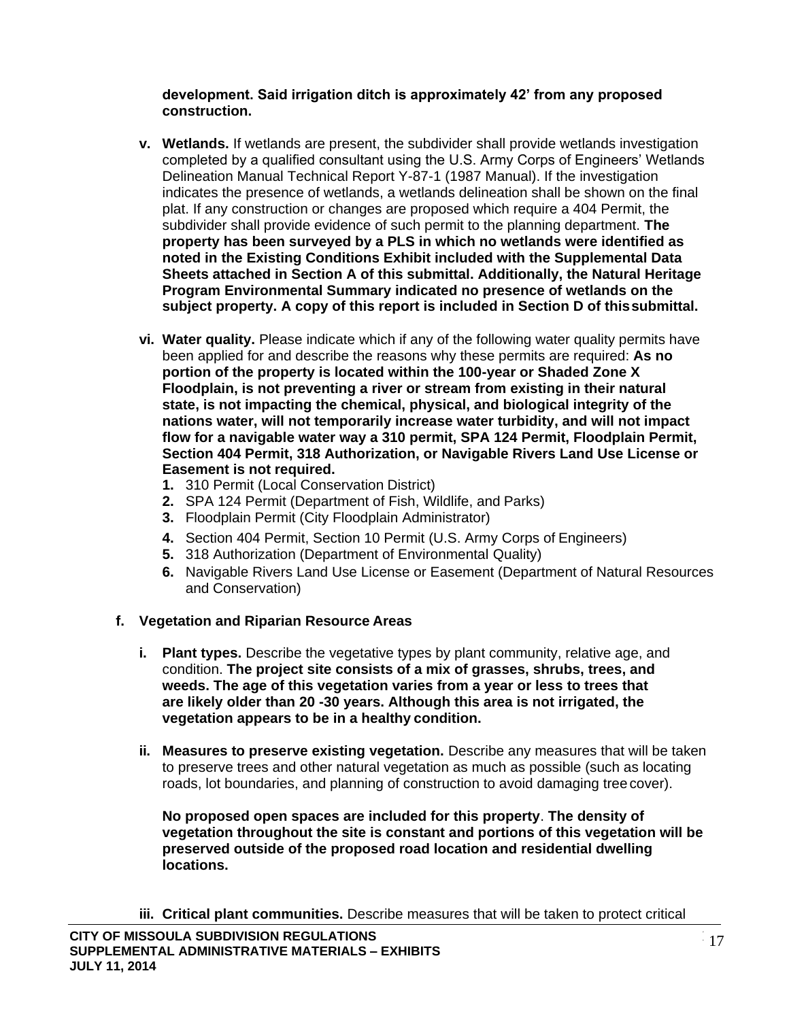### **development. Said irrigation ditch is approximately 42' from any proposed construction.**

- **v. Wetlands.** If wetlands are present, the subdivider shall provide wetlands investigation completed by a qualified consultant using the U.S. Army Corps of Engineers' Wetlands Delineation Manual Technical Report Y-87-1 (1987 Manual). If the investigation indicates the presence of wetlands, a wetlands delineation shall be shown on the final plat. If any construction or changes are proposed which require a 404 Permit, the subdivider shall provide evidence of such permit to the planning department. **The property has been surveyed by a PLS in which no wetlands were identified as noted in the Existing Conditions Exhibit included with the Supplemental Data Sheets attached in Section A of this submittal. Additionally, the Natural Heritage Program Environmental Summary indicated no presence of wetlands on the subject property. A copy of this report is included in Section D of thissubmittal.**
- **vi. Water quality.** Please indicate which if any of the following water quality permits have been applied for and describe the reasons why these permits are required: **As no portion of the property is located within the 100-year or Shaded Zone X Floodplain, is not preventing a river or stream from existing in their natural state, is not impacting the chemical, physical, and biological integrity of the nations water, will not temporarily increase water turbidity, and will not impact flow for a navigable water way a 310 permit, SPA 124 Permit, Floodplain Permit, Section 404 Permit, 318 Authorization, or Navigable Rivers Land Use License or Easement is not required.**
	- **1.** 310 Permit (Local Conservation District)
	- **2.** SPA 124 Permit (Department of Fish, Wildlife, and Parks)
	- **3.** Floodplain Permit (City Floodplain Administrator)
	- **4.** Section 404 Permit, Section 10 Permit (U.S. Army Corps of Engineers)
	- **5.** 318 Authorization (Department of Environmental Quality)
	- **6.** Navigable Rivers Land Use License or Easement (Department of Natural Resources and Conservation)

## **f. Vegetation and Riparian Resource Areas**

- **i. Plant types.** Describe the vegetative types by plant community, relative age, and condition. **The project site consists of a mix of grasses, shrubs, trees, and weeds. The age of this vegetation varies from a year or less to trees that are likely older than 20 -30 years. Although this area is not irrigated, the vegetation appears to be in a healthy condition.**
- ii. Measures to preserve existing vegetation. Describe any measures that will be taken to preserve trees and other natural vegetation as much as possible (such as locating roads, lot boundaries, and planning of construction to avoid damaging tree cover).

**No proposed open spaces are included for this property**. **The density of vegetation throughout the site is constant and portions of this vegetation will be preserved outside of the proposed road location and residential dwelling locations.**

**iii. Critical plant communities.** Describe measures that will be taken to protect critical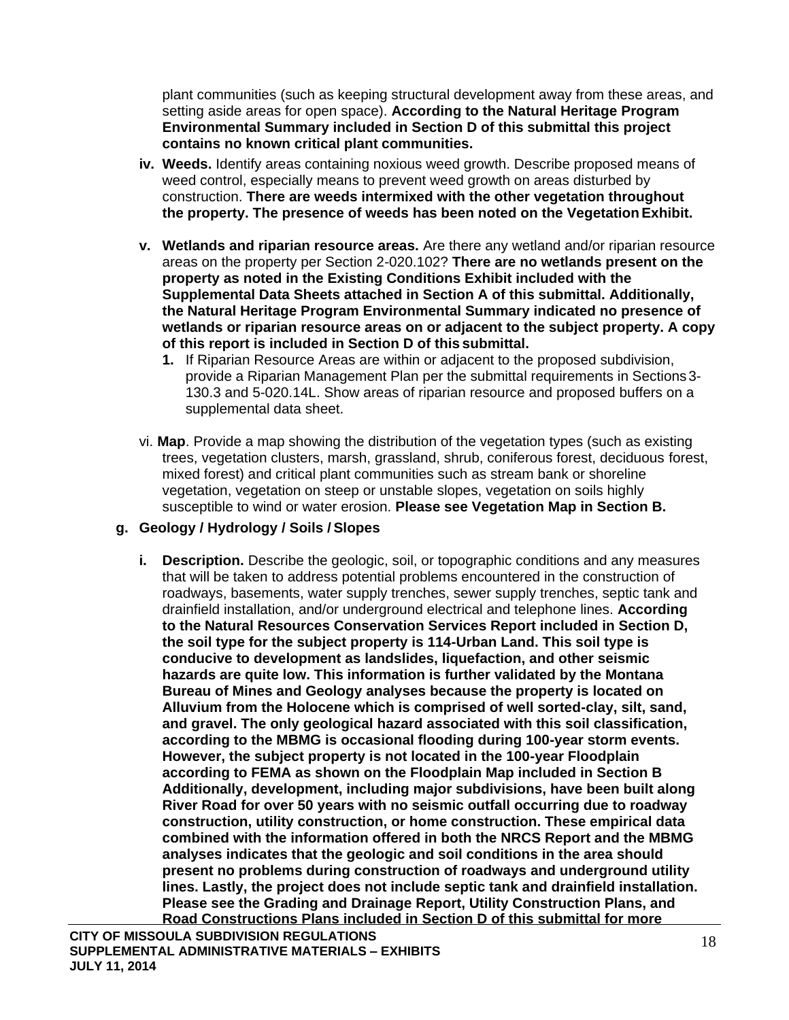plant communities (such as keeping structural development away from these areas, and setting aside areas for open space). **According to the Natural Heritage Program Environmental Summary included in Section D of this submittal this project contains no known critical plant communities.**

- **iv. Weeds.** Identify areas containing noxious weed growth. Describe proposed means of weed control, especially means to prevent weed growth on areas disturbed by construction. **There are weeds intermixed with the other vegetation throughout the property. The presence of weeds has been noted on the VegetationExhibit.**
- **v. Wetlands and riparian resource areas.** Are there any wetland and/or riparian resource areas on the property per Section 2-020.102? **There are no wetlands present on the property as noted in the Existing Conditions Exhibit included with the Supplemental Data Sheets attached in Section A of this submittal. Additionally, the Natural Heritage Program Environmental Summary indicated no presence of wetlands or riparian resource areas on or adjacent to the subject property. A copy of this report is included in Section D of this submittal.**
	- **1.** If Riparian Resource Areas are within or adjacent to the proposed subdivision, provide a Riparian Management Plan per the submittal requirements in Sections3- 130.3 and 5-020.14L. Show areas of riparian resource and proposed buffers on a supplemental data sheet.
- vi. **Map**. Provide a map showing the distribution of the vegetation types (such as existing trees, vegetation clusters, marsh, grassland, shrub, coniferous forest, deciduous forest, mixed forest) and critical plant communities such as stream bank or shoreline vegetation, vegetation on steep or unstable slopes, vegetation on soils highly susceptible to wind or water erosion. **Please see Vegetation Map in Section B.**

## **g. Geology / Hydrology / Soils / Slopes**

**i. Description.** Describe the geologic, soil, or topographic conditions and any measures that will be taken to address potential problems encountered in the construction of roadways, basements, water supply trenches, sewer supply trenches, septic tank and drainfield installation, and/or underground electrical and telephone lines. **According to the Natural Resources Conservation Services Report included in Section D, the soil type for the subject property is 114-Urban Land. This soil type is conducive to development as landslides, liquefaction, and other seismic hazards are quite low. This information is further validated by the Montana Bureau of Mines and Geology analyses because the property is located on Alluvium from the Holocene which is comprised of well sorted-clay, silt, sand, and gravel. The only geological hazard associated with this soil classification, according to the MBMG is occasional flooding during 100-year storm events. However, the subject property is not located in the 100-year Floodplain according to FEMA as shown on the Floodplain Map included in Section B Additionally, development, including major subdivisions, have been built along River Road for over 50 years with no seismic outfall occurring due to roadway construction, utility construction, or home construction. These empirical data combined with the information offered in both the NRCS Report and the MBMG analyses indicates that the geologic and soil conditions in the area should present no problems during construction of roadways and underground utility lines. Lastly, the project does not include septic tank and drainfield installation. Please see the Grading and Drainage Report, Utility Construction Plans, and Road Constructions Plans included in Section D of this submittal for more**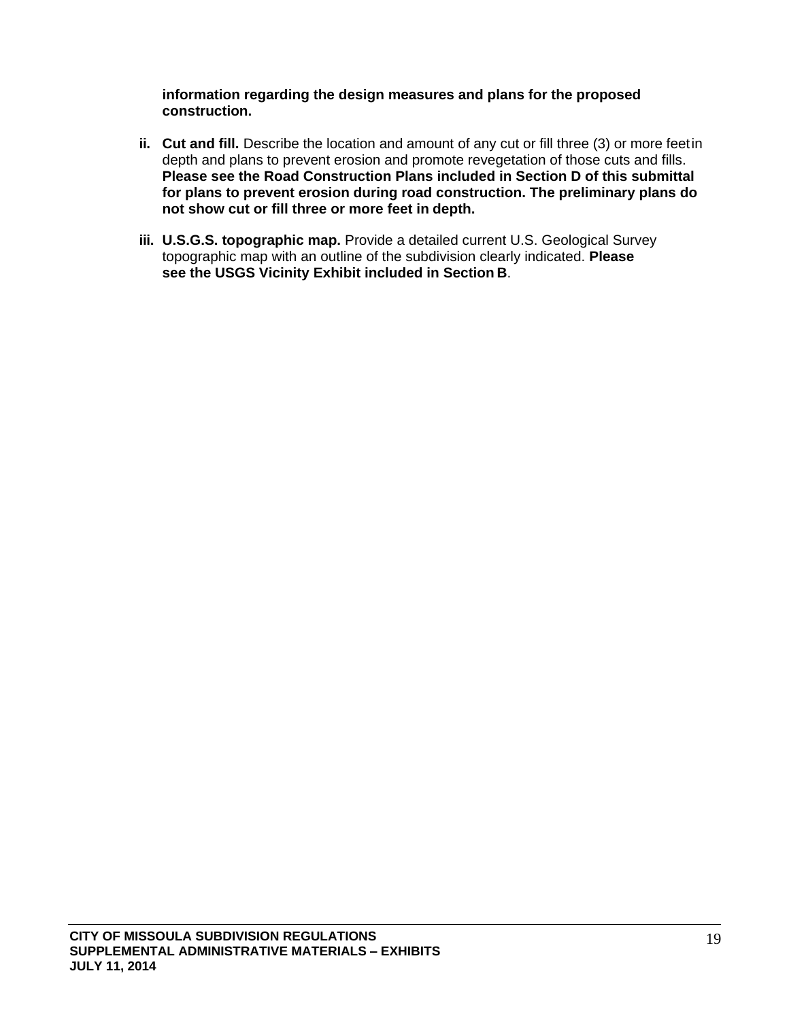**information regarding the design measures and plans for the proposed construction.**

- **ii. Cut and fill.** Describe the location and amount of any cut or fill three (3) or more feetin depth and plans to prevent erosion and promote revegetation of those cuts and fills. **Please see the Road Construction Plans included in Section D of this submittal for plans to prevent erosion during road construction. The preliminary plans do not show cut or fill three or more feet in depth.**
- **iii. U.S.G.S. topographic map.** Provide a detailed current U.S. Geological Survey topographic map with an outline of the subdivision clearly indicated. **Please see the USGS Vicinity Exhibit included in Section B**.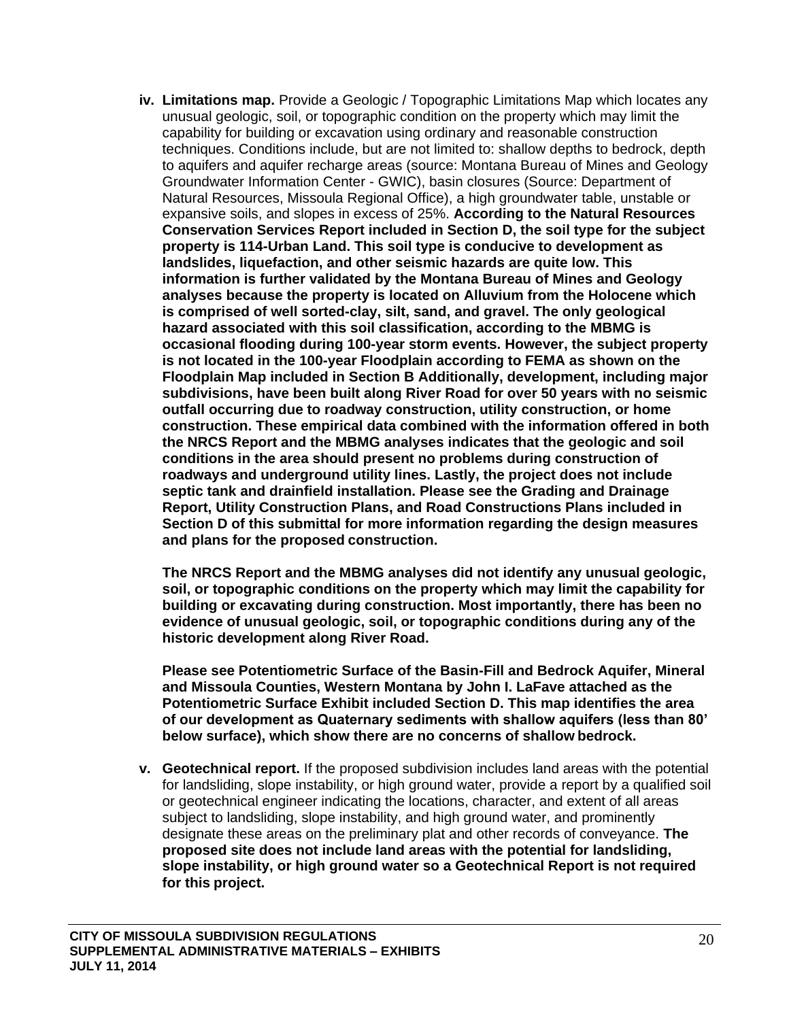**iv. Limitations map.** Provide a Geologic / Topographic Limitations Map which locates any unusual geologic, soil, or topographic condition on the property which may limit the capability for building or excavation using ordinary and reasonable construction techniques. Conditions include, but are not limited to: shallow depths to bedrock, depth to aquifers and aquifer recharge areas (source: Montana Bureau of Mines and Geology Groundwater Information Center - GWIC), basin closures (Source: Department of Natural Resources, Missoula Regional Office), a high groundwater table, unstable or expansive soils, and slopes in excess of 25%. **According to the Natural Resources Conservation Services Report included in Section D, the soil type for the subject property is 114-Urban Land. This soil type is conducive to development as landslides, liquefaction, and other seismic hazards are quite low. This information is further validated by the Montana Bureau of Mines and Geology analyses because the property is located on Alluvium from the Holocene which is comprised of well sorted-clay, silt, sand, and gravel. The only geological hazard associated with this soil classification, according to the MBMG is occasional flooding during 100-year storm events. However, the subject property is not located in the 100-year Floodplain according to FEMA as shown on the Floodplain Map included in Section B Additionally, development, including major subdivisions, have been built along River Road for over 50 years with no seismic outfall occurring due to roadway construction, utility construction, or home construction. These empirical data combined with the information offered in both the NRCS Report and the MBMG analyses indicates that the geologic and soil conditions in the area should present no problems during construction of roadways and underground utility lines. Lastly, the project does not include septic tank and drainfield installation. Please see the Grading and Drainage Report, Utility Construction Plans, and Road Constructions Plans included in Section D of this submittal for more information regarding the design measures and plans for the proposed construction.**

**The NRCS Report and the MBMG analyses did not identify any unusual geologic, soil, or topographic conditions on the property which may limit the capability for building or excavating during construction. Most importantly, there has been no evidence of unusual geologic, soil, or topographic conditions during any of the historic development along River Road.**

**Please see Potentiometric Surface of the Basin-Fill and Bedrock Aquifer, Mineral and Missoula Counties, Western Montana by John I. LaFave attached as the Potentiometric Surface Exhibit included Section D. This map identifies the area of our development as Quaternary sediments with shallow aquifers (less than 80' below surface), which show there are no concerns of shallow bedrock.**

**v. Geotechnical report.** If the proposed subdivision includes land areas with the potential for landsliding, slope instability, or high ground water, provide a report by a qualified soil or geotechnical engineer indicating the locations, character, and extent of all areas subject to landsliding, slope instability, and high ground water, and prominently designate these areas on the preliminary plat and other records of conveyance. **The proposed site does not include land areas with the potential for landsliding, slope instability, or high ground water so a Geotechnical Report is not required for this project.**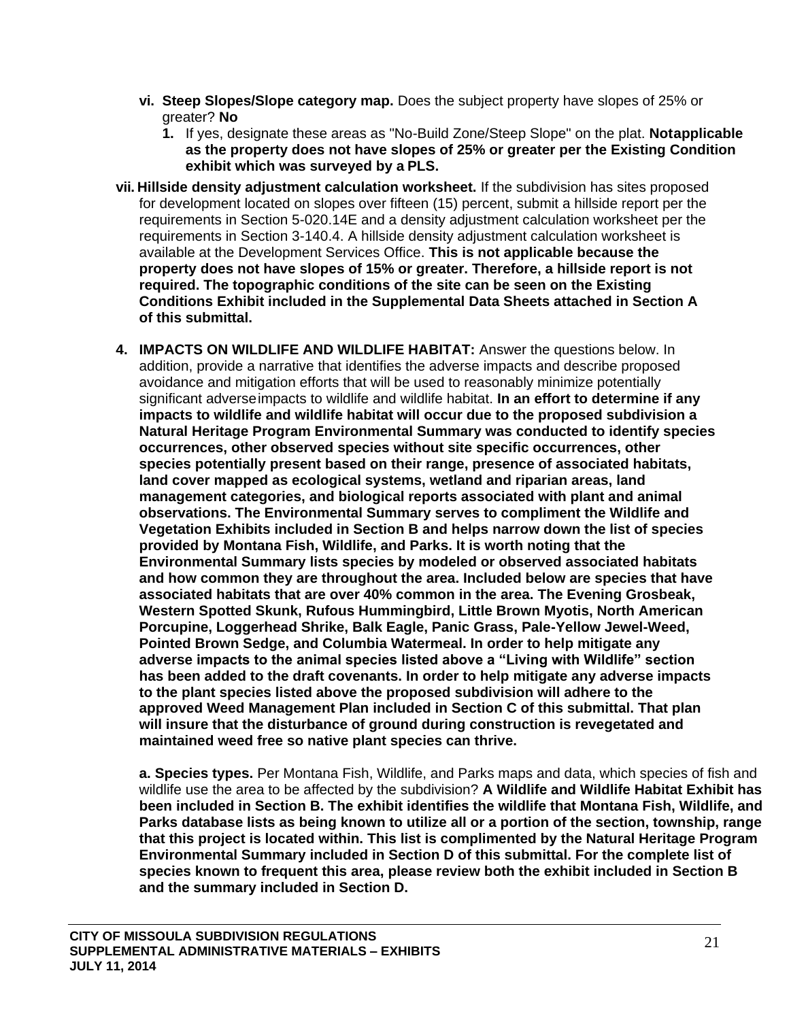- **vi. Steep Slopes/Slope category map.** Does the subject property have slopes of 25% or greater? **No**
	- **1.** If yes, designate these areas as "No-Build Zone/Steep Slope" on the plat. **Notapplicable as the property does not have slopes of 25% or greater per the Existing Condition exhibit which was surveyed by a PLS.**
- **vii. Hillside density adjustment calculation worksheet.** If the subdivision has sites proposed for development located on slopes over fifteen (15) percent, submit a hillside report per the requirements in Section 5-020.14E and a density adjustment calculation worksheet per the requirements in Section 3-140.4. A hillside density adjustment calculation worksheet is available at the Development Services Office. **This is not applicable because the property does not have slopes of 15% or greater. Therefore, a hillside report is not required. The topographic conditions of the site can be seen on the Existing Conditions Exhibit included in the Supplemental Data Sheets attached in Section A of this submittal.**
- **4. IMPACTS ON WILDLIFE AND WILDLIFE HABITAT:** Answer the questions below. In addition, provide a narrative that identifies the adverse impacts and describe proposed avoidance and mitigation efforts that will be used to reasonably minimize potentially significant adverseimpacts to wildlife and wildlife habitat. **In an effort to determine if any impacts to wildlife and wildlife habitat will occur due to the proposed subdivision a Natural Heritage Program Environmental Summary was conducted to identify species occurrences, other observed species without site specific occurrences, other species potentially present based on their range, presence of associated habitats, land cover mapped as ecological systems, wetland and riparian areas, land management categories, and biological reports associated with plant and animal observations. The Environmental Summary serves to compliment the Wildlife and Vegetation Exhibits included in Section B and helps narrow down the list of species provided by Montana Fish, Wildlife, and Parks. It is worth noting that the Environmental Summary lists species by modeled or observed associated habitats and how common they are throughout the area. Included below are species that have associated habitats that are over 40% common in the area. The Evening Grosbeak, Western Spotted Skunk, Rufous Hummingbird, Little Brown Myotis, North American Porcupine, Loggerhead Shrike, Balk Eagle, Panic Grass, Pale-Yellow Jewel-Weed, Pointed Brown Sedge, and Columbia Watermeal. In order to help mitigate any adverse impacts to the animal species listed above a "Living with Wildlife" section has been added to the draft covenants. In order to help mitigate any adverse impacts to the plant species listed above the proposed subdivision will adhere to the approved Weed Management Plan included in Section C of this submittal. That plan will insure that the disturbance of ground during construction is revegetated and maintained weed free so native plant species can thrive.**

**a. Species types.** Per Montana Fish, Wildlife, and Parks maps and data, which species of fish and wildlife use the area to be affected by the subdivision? **A Wildlife and Wildlife Habitat Exhibit has been included in Section B. The exhibit identifies the wildlife that Montana Fish, Wildlife, and Parks database lists as being known to utilize all or a portion of the section, township, range that this project is located within. This list is complimented by the Natural Heritage Program Environmental Summary included in Section D of this submittal. For the complete list of species known to frequent this area, please review both the exhibit included in Section B and the summary included in Section D.**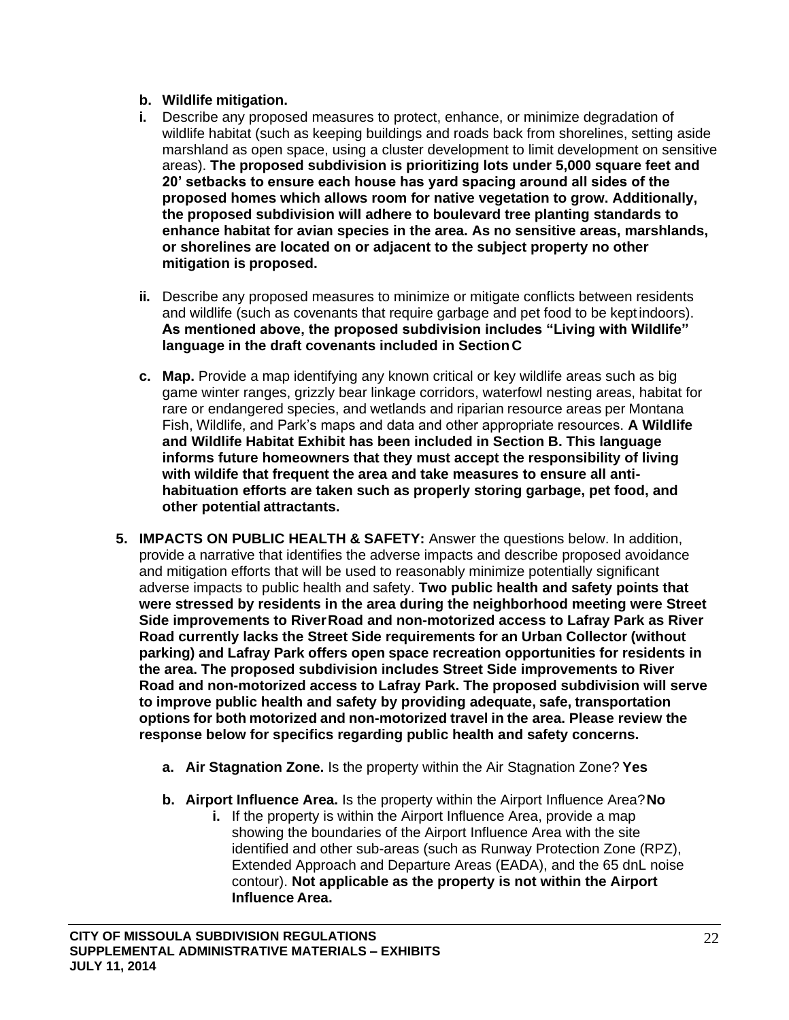### **b. Wildlife mitigation.**

- **i.** Describe any proposed measures to protect, enhance, or minimize degradation of wildlife habitat (such as keeping buildings and roads back from shorelines, setting aside marshland as open space, using a cluster development to limit development on sensitive areas). **The proposed subdivision is prioritizing lots under 5,000 square feet and 20' setbacks to ensure each house has yard spacing around all sides of the proposed homes which allows room for native vegetation to grow. Additionally, the proposed subdivision will adhere to boulevard tree planting standards to enhance habitat for avian species in the area. As no sensitive areas, marshlands, or shorelines are located on or adjacent to the subject property no other mitigation is proposed.**
- **ii.** Describe any proposed measures to minimize or mitigate conflicts between residents and wildlife (such as covenants that require garbage and pet food to be keptindoors). **As mentioned above, the proposed subdivision includes "Living with Wildlife" language in the draft covenants included in Section C**
- **c. Map.** Provide a map identifying any known critical or key wildlife areas such as big game winter ranges, grizzly bear linkage corridors, waterfowl nesting areas, habitat for rare or endangered species, and wetlands and riparian resource areas per Montana Fish, Wildlife, and Park's maps and data and other appropriate resources. **A Wildlife and Wildlife Habitat Exhibit has been included in Section B. This language informs future homeowners that they must accept the responsibility of living with wildife that frequent the area and take measures to ensure all antihabituation efforts are taken such as properly storing garbage, pet food, and other potential attractants.**
- **5. IMPACTS ON PUBLIC HEALTH & SAFETY:** Answer the questions below. In addition, provide a narrative that identifies the adverse impacts and describe proposed avoidance and mitigation efforts that will be used to reasonably minimize potentially significant adverse impacts to public health and safety. **Two public health and safety points that were stressed by residents in the area during the neighborhood meeting were Street Side improvements to RiverRoad and non-motorized access to Lafray Park as River Road currently lacks the Street Side requirements for an Urban Collector (without parking) and Lafray Park offers open space recreation opportunities for residents in the area. The proposed subdivision includes Street Side improvements to River Road and non-motorized access to Lafray Park. The proposed subdivision will serve to improve public health and safety by providing adequate, safe, transportation options for both motorized and non-motorized travel in the area. Please review the response below for specifics regarding public health and safety concerns.**
	- **a. Air Stagnation Zone.** Is the property within the Air Stagnation Zone? **Yes**
	- **b. Airport Influence Area.** Is the property within the Airport Influence Area?**No**
		- **i.** If the property is within the Airport Influence Area, provide a map showing the boundaries of the Airport Influence Area with the site identified and other sub-areas (such as Runway Protection Zone (RPZ), Extended Approach and Departure Areas (EADA), and the 65 dnL noise contour). **Not applicable as the property is not within the Airport Influence Area.**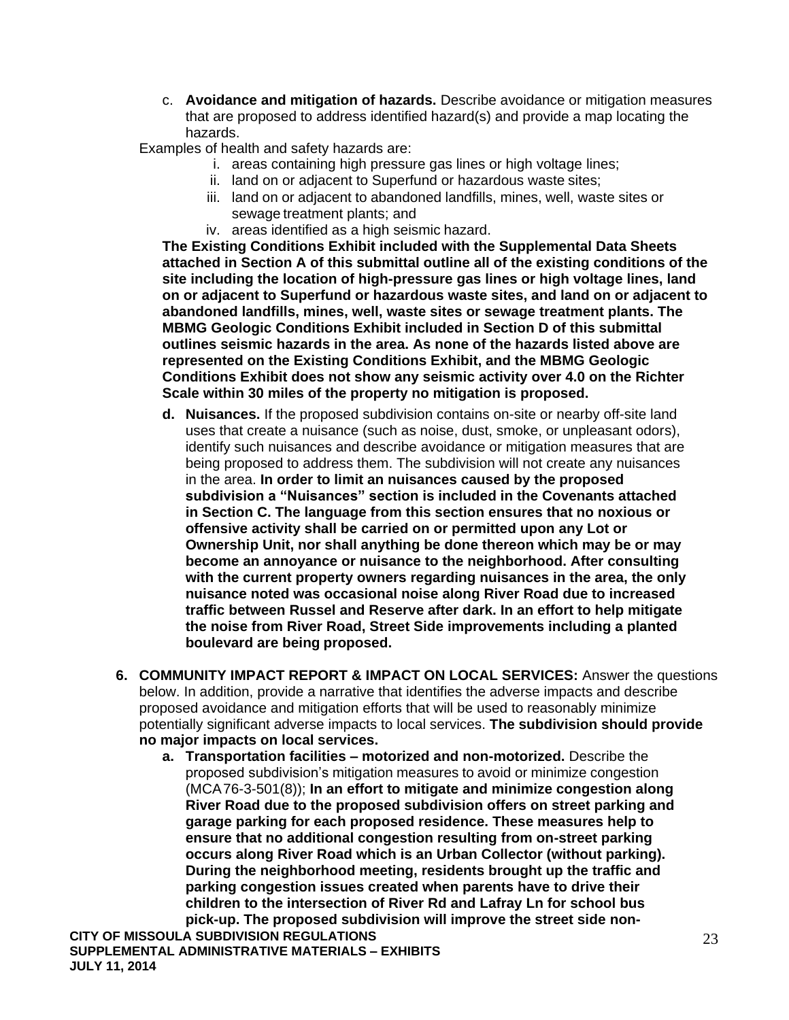c. **Avoidance and mitigation of hazards.** Describe avoidance or mitigation measures that are proposed to address identified hazard(s) and provide a map locating the hazards.

Examples of health and safety hazards are:

- i. areas containing high pressure gas lines or high voltage lines;
- ii. land on or adjacent to Superfund or hazardous waste sites;
- iii. land on or adjacent to abandoned landfills, mines, well, waste sites or sewage treatment plants; and
- iv. areas identified as a high seismic hazard.

**The Existing Conditions Exhibit included with the Supplemental Data Sheets attached in Section A of this submittal outline all of the existing conditions of the site including the location of high-pressure gas lines or high voltage lines, land on or adjacent to Superfund or hazardous waste sites, and land on or adjacent to abandoned landfills, mines, well, waste sites or sewage treatment plants. The MBMG Geologic Conditions Exhibit included in Section D of this submittal outlines seismic hazards in the area. As none of the hazards listed above are represented on the Existing Conditions Exhibit, and the MBMG Geologic Conditions Exhibit does not show any seismic activity over 4.0 on the Richter Scale within 30 miles of the property no mitigation is proposed.**

- **d. Nuisances.** If the proposed subdivision contains on-site or nearby off-site land uses that create a nuisance (such as noise, dust, smoke, or unpleasant odors), identify such nuisances and describe avoidance or mitigation measures that are being proposed to address them. The subdivision will not create any nuisances in the area. **In order to limit an nuisances caused by the proposed subdivision a "Nuisances" section is included in the Covenants attached in Section C. The language from this section ensures that no noxious or offensive activity shall be carried on or permitted upon any Lot or Ownership Unit, nor shall anything be done thereon which may be or may become an annoyance or nuisance to the neighborhood. After consulting with the current property owners regarding nuisances in the area, the only nuisance noted was occasional noise along River Road due to increased traffic between Russel and Reserve after dark. In an effort to help mitigate the noise from River Road, Street Side improvements including a planted boulevard are being proposed.**
- **6. COMMUNITY IMPACT REPORT & IMPACT ON LOCAL SERVICES:** Answer the questions below. In addition, provide a narrative that identifies the adverse impacts and describe proposed avoidance and mitigation efforts that will be used to reasonably minimize potentially significant adverse impacts to local services. **The subdivision should provide no major impacts on local services.**
	- **a. Transportation facilities – motorized and non-motorized.** Describe the proposed subdivision's mitigation measures to avoid or minimize congestion (MCA76-3-501(8)); **In an effort to mitigate and minimize congestion along River Road due to the proposed subdivision offers on street parking and garage parking for each proposed residence. These measures help to ensure that no additional congestion resulting from on-street parking occurs along River Road which is an Urban Collector (without parking). During the neighborhood meeting, residents brought up the traffic and parking congestion issues created when parents have to drive their children to the intersection of River Rd and Lafray Ln for school bus pick-up. The proposed subdivision will improve the street side non-**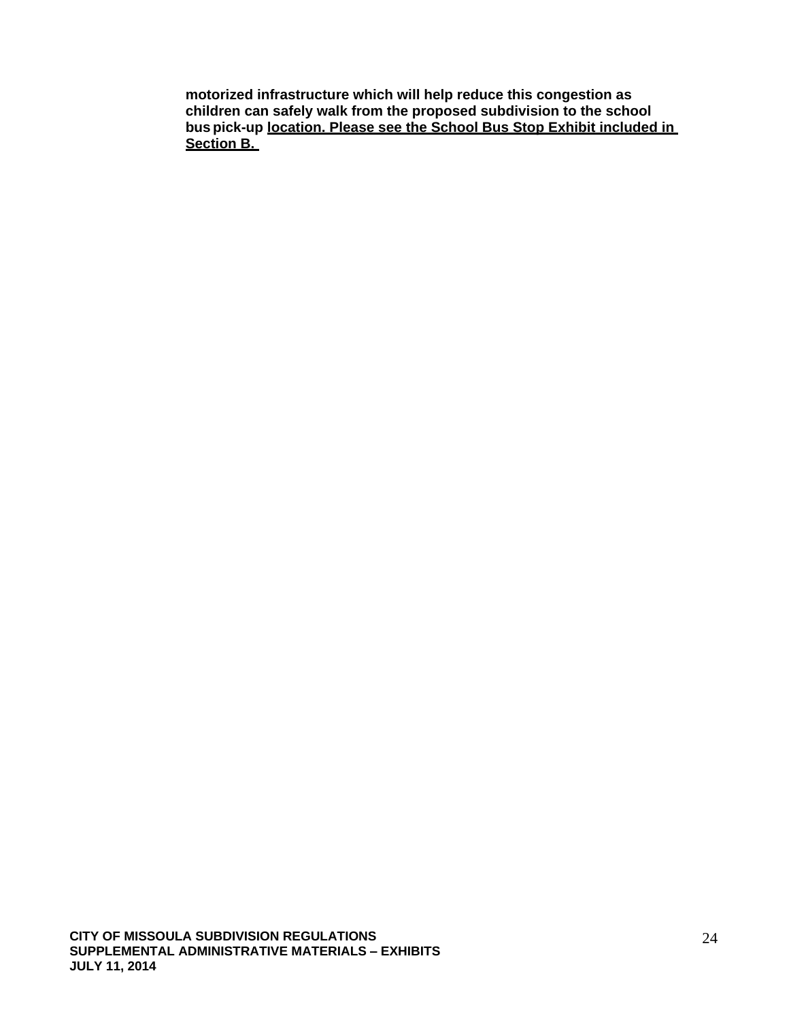**motorized infrastructure which will help reduce this congestion as children can safely walk from the proposed subdivision to the school bus pick-up location. Please see the School Bus Stop Exhibit included in Section B.**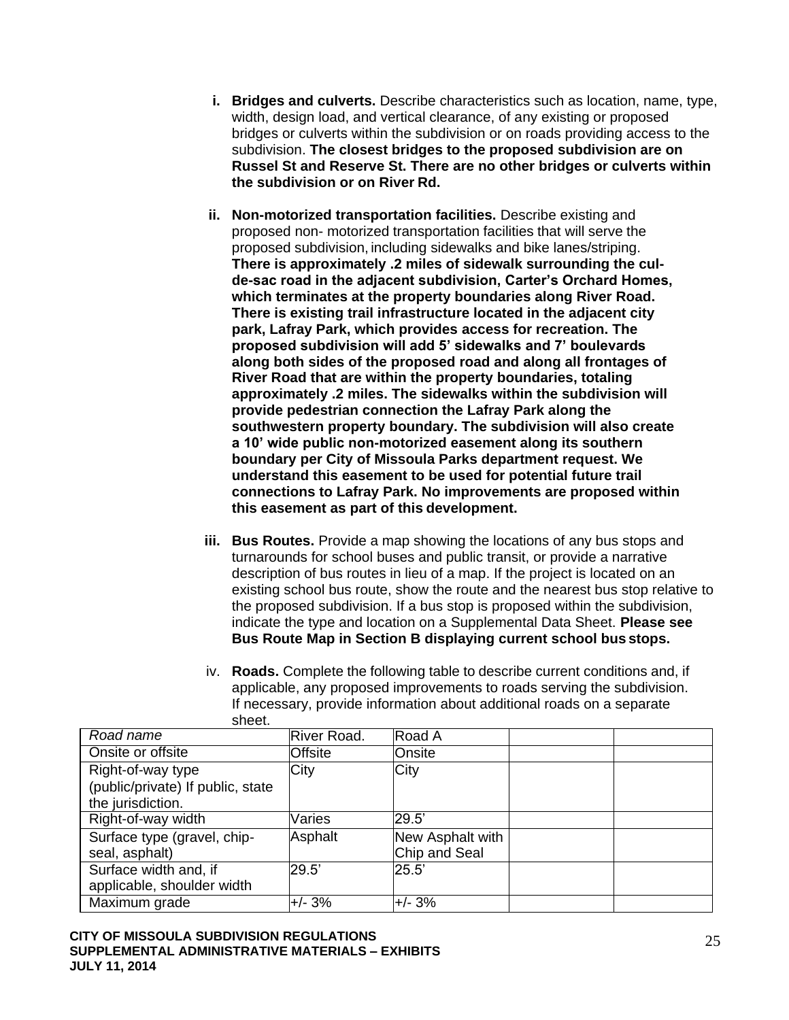- **i. Bridges and culverts.** Describe characteristics such as location, name, type, width, design load, and vertical clearance, of any existing or proposed bridges or culverts within the subdivision or on roads providing access to the subdivision. **The closest bridges to the proposed subdivision are on Russel St and Reserve St. There are no other bridges or culverts within the subdivision or on River Rd.**
- **ii. Non-motorized transportation facilities.** Describe existing and proposed non- motorized transportation facilities that will serve the proposed subdivision, including sidewalks and bike lanes/striping. **There is approximately .2 miles of sidewalk surrounding the culde-sac road in the adjacent subdivision, Carter's Orchard Homes, which terminates at the property boundaries along River Road. There is existing trail infrastructure located in the adjacent city park, Lafray Park, which provides access for recreation. The proposed subdivision will add 5' sidewalks and 7' boulevards along both sides of the proposed road and along all frontages of River Road that are within the property boundaries, totaling approximately .2 miles. The sidewalks within the subdivision will provide pedestrian connection the Lafray Park along the southwestern property boundary. The subdivision will also create a 10' wide public non-motorized easement along its southern boundary per City of Missoula Parks department request. We understand this easement to be used for potential future trail connections to Lafray Park. No improvements are proposed within this easement as part of this development.**
- **iii. Bus Routes.** Provide a map showing the locations of any bus stops and turnarounds for school buses and public transit, or provide a narrative description of bus routes in lieu of a map. If the project is located on an existing school bus route, show the route and the nearest bus stop relative to the proposed subdivision. If a bus stop is proposed within the subdivision, indicate the type and location on a Supplemental Data Sheet. **Please see Bus Route Map in Section B displaying current school bus stops.**
- iv. **Roads.** Complete the following table to describe current conditions and, if applicable, any proposed improvements to roads serving the subdivision. If necessary, provide information about additional roads on a separate sheet.

| Road name                                                                   | <b>River Road.</b> | Road A                            |  |
|-----------------------------------------------------------------------------|--------------------|-----------------------------------|--|
| Onsite or offsite                                                           | Offsite            | lOnsite                           |  |
| Right-of-way type<br>(public/private) If public, state<br>the jurisdiction. | City               | City                              |  |
| Right-of-way width                                                          | Varies             | 29.5'                             |  |
| Surface type (gravel, chip-<br>seal, asphalt)                               | Asphalt            | New Asphalt with<br>Chip and Seal |  |
| Surface width and, if<br>applicable, shoulder width                         | 29.5'              | 25.5'                             |  |
| Maximum grade                                                               | $+/- 3%$           | $+/- 3%$                          |  |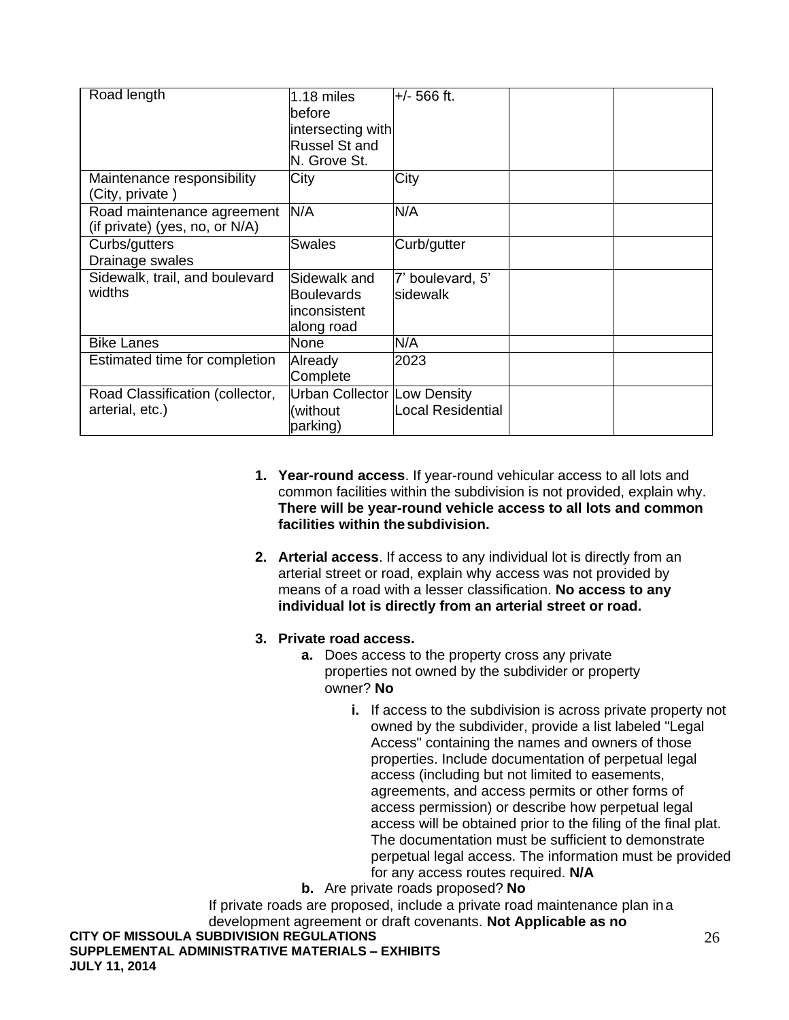| Road length                                                  | $1.18$ miles<br>lbefore<br>intersecting with<br><b>Russel St and</b><br>N. Grove St. | $+/- 566$ ft.                |  |
|--------------------------------------------------------------|--------------------------------------------------------------------------------------|------------------------------|--|
| Maintenance responsibility<br>(City, private)                | City                                                                                 | City                         |  |
| Road maintenance agreement<br>(if private) (yes, no, or N/A) | N/A                                                                                  | N/A                          |  |
| Curbs/gutters<br>Drainage swales                             | <b>Swales</b>                                                                        | Curb/gutter                  |  |
| Sidewalk, trail, and boulevard<br>widths                     | Sidewalk and<br><b>Boulevards</b><br>inconsistent<br>along road                      | 7' boulevard, 5'<br>sidewalk |  |
| <b>Bike Lanes</b>                                            | <b>None</b>                                                                          | N/A                          |  |
| Estimated time for completion                                | Already<br>Complete                                                                  | 2023                         |  |
| Road Classification (collector,<br>arterial, etc.)           | Urban Collector Low Density<br>(without<br>parking)                                  | <b>Local Residential</b>     |  |

- **1. Year-round access**. If year-round vehicular access to all lots and common facilities within the subdivision is not provided, explain why. **There will be year-round vehicle access to all lots and common facilities within the subdivision.**
- **2. Arterial access**. If access to any individual lot is directly from an arterial street or road, explain why access was not provided by means of a road with a lesser classification. **No access to any individual lot is directly from an arterial street or road.**

## **3. Private road access.**

- **a.** Does access to the property cross any private properties not owned by the subdivider or property owner? **No**
	- **i.** If access to the subdivision is across private property not owned by the subdivider, provide a list labeled "Legal Access" containing the names and owners of those properties. Include documentation of perpetual legal access (including but not limited to easements, agreements, and access permits or other forms of access permission) or describe how perpetual legal access will be obtained prior to the filing of the final plat. The documentation must be sufficient to demonstrate perpetual legal access. The information must be provided for any access routes required. **N/A**
- **b.** Are private roads proposed? **No**

If private roads are proposed, include a private road maintenance plan ina development agreement or draft covenants. **Not Applicable as no** 

**CITY OF MISSOULA SUBDIVISION REGULATIONS** 

**SUPPLEMENTAL ADMINISTRATIVE MATERIALS – EXHIBITS JULY 11, 2014**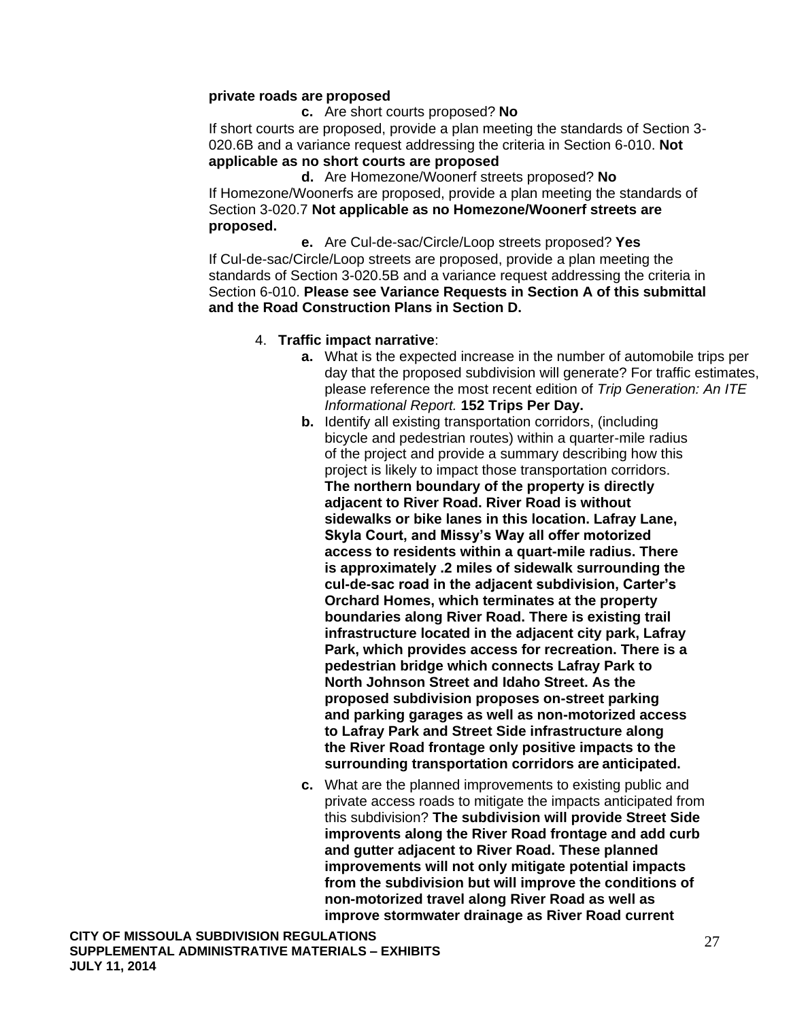### **private roads are proposed**

**c.** Are short courts proposed? **No**

If short courts are proposed, provide a plan meeting the standards of Section 3- 020.6B and a variance request addressing the criteria in Section 6-010. **Not applicable as no short courts are proposed**

**d.** Are Homezone/Woonerf streets proposed? **No** If Homezone/Woonerfs are proposed, provide a plan meeting the standards of Section 3-020.7 **Not applicable as no Homezone/Woonerf streets are proposed.**

**e.** Are Cul-de-sac/Circle/Loop streets proposed? **Yes** If Cul-de-sac/Circle/Loop streets are proposed, provide a plan meeting the standards of Section 3-020.5B and a variance request addressing the criteria in Section 6-010. **Please see Variance Requests in Section A of this submittal and the Road Construction Plans in Section D.**

### 4. **Traffic impact narrative**:

- **a.** What is the expected increase in the number of automobile trips per day that the proposed subdivision will generate? For traffic estimates, please reference the most recent edition of *Trip Generation: An ITE Informational Report.* **152 Trips Per Day.**
- **b.** Identify all existing transportation corridors, (including bicycle and pedestrian routes) within a quarter-mile radius of the project and provide a summary describing how this project is likely to impact those transportation corridors. **The northern boundary of the property is directly adjacent to River Road. River Road is without sidewalks or bike lanes in this location. Lafray Lane, Skyla Court, and Missy's Way all offer motorized access to residents within a quart-mile radius. There is approximately .2 miles of sidewalk surrounding the cul-de-sac road in the adjacent subdivision, Carter's Orchard Homes, which terminates at the property boundaries along River Road. There is existing trail infrastructure located in the adjacent city park, Lafray Park, which provides access for recreation. There is a pedestrian bridge which connects Lafray Park to North Johnson Street and Idaho Street. As the proposed subdivision proposes on-street parking and parking garages as well as non-motorized access to Lafray Park and Street Side infrastructure along the River Road frontage only positive impacts to the surrounding transportation corridors are anticipated.**
- **c.** What are the planned improvements to existing public and private access roads to mitigate the impacts anticipated from this subdivision? **The subdivision will provide Street Side improvents along the River Road frontage and add curb and gutter adjacent to River Road. These planned improvements will not only mitigate potential impacts from the subdivision but will improve the conditions of non-motorized travel along River Road as well as improve stormwater drainage as River Road current**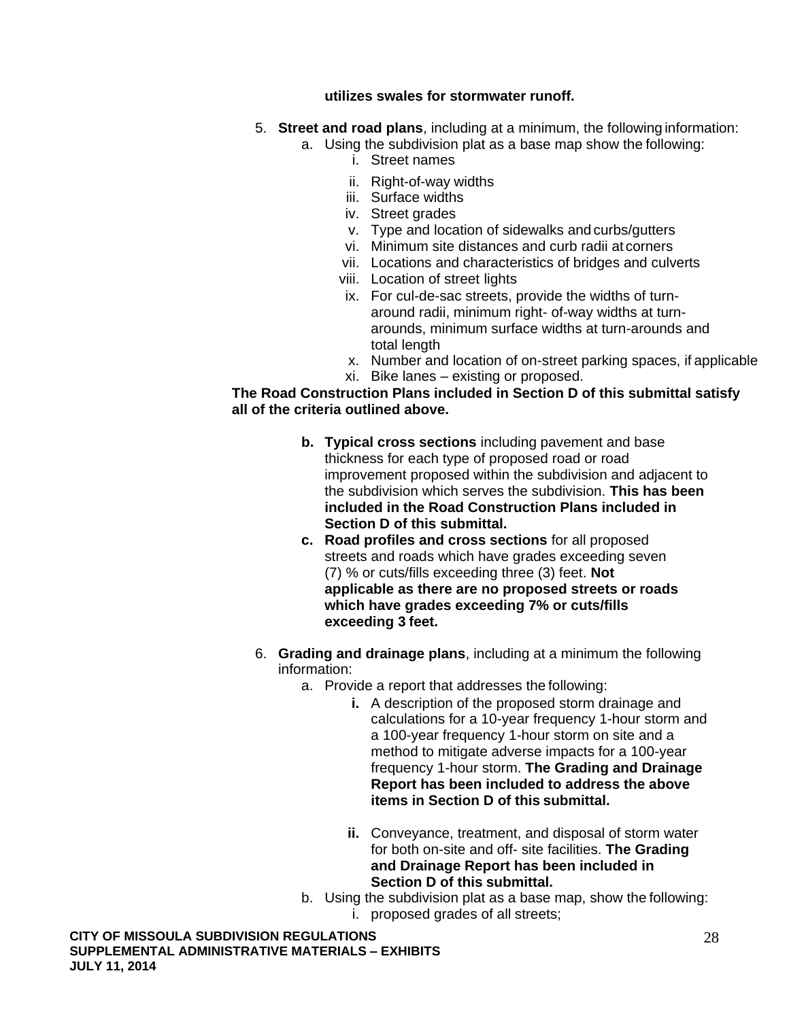### **utilizes swales for stormwater runoff.**

- 5. **Street and road plans**, including at a minimum, the following information:
	- a. Using the subdivision plat as a base map show the following:
		- i. Street names
			- ii. Right-of-way widths
			- iii. Surface widths
			- iv. Street grades
			- v. Type and location of sidewalks and curbs/gutters
			- vi. Minimum site distances and curb radii at corners
		- vii. Locations and characteristics of bridges and culverts
		- viii. Location of street lights
		- ix. For cul-de-sac streets, provide the widths of turnaround radii, minimum right- of-way widths at turnarounds, minimum surface widths at turn-arounds and total length
		- x. Number and location of on-street parking spaces, if applicable
		- xi. Bike lanes existing or proposed.

### **The Road Construction Plans included in Section D of this submittal satisfy all of the criteria outlined above.**

- **b. Typical cross sections** including pavement and base thickness for each type of proposed road or road improvement proposed within the subdivision and adjacent to the subdivision which serves the subdivision. **This has been included in the Road Construction Plans included in Section D of this submittal.**
- **c. Road profiles and cross sections** for all proposed streets and roads which have grades exceeding seven (7) % or cuts/fills exceeding three (3) feet. **Not applicable as there are no proposed streets or roads which have grades exceeding 7% or cuts/fills exceeding 3 feet.**
- 6. **Grading and drainage plans**, including at a minimum the following information:
	- a. Provide a report that addresses the following:
		- **i.** A description of the proposed storm drainage and calculations for a 10-year frequency 1-hour storm and a 100-year frequency 1-hour storm on site and a method to mitigate adverse impacts for a 100-year frequency 1-hour storm. **The Grading and Drainage Report has been included to address the above items in Section D of this submittal.**
		- **ii.** Conveyance, treatment, and disposal of storm water for both on-site and off- site facilities. **The Grading and Drainage Report has been included in Section D of this submittal.**
	- b. Using the subdivision plat as a base map, show the following: i. proposed grades of all streets;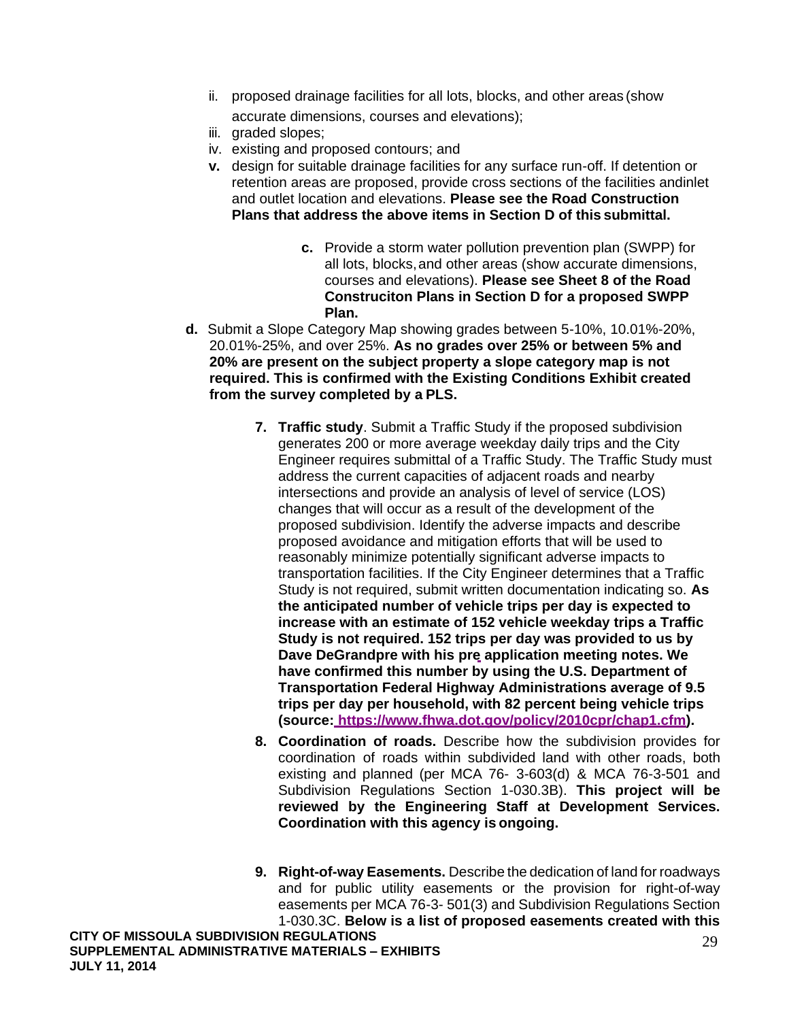- ii. proposed drainage facilities for all lots, blocks, and other areas (show accurate dimensions, courses and elevations);
- iii. graded slopes;
- iv. existing and proposed contours; and
- **v.** design for suitable drainage facilities for any surface run-off. If detention or retention areas are proposed, provide cross sections of the facilities andinlet and outlet location and elevations. **Please see the Road Construction Plans that address the above items in Section D of this submittal.**
	- **c.** Provide a storm water pollution prevention plan (SWPP) for all lots, blocks, and other areas (show accurate dimensions, courses and elevations). **Please see Sheet 8 of the Road Construciton Plans in Section D for a proposed SWPP Plan.**
- **d.** Submit a Slope Category Map showing grades between 5-10%, 10.01%-20%, 20.01%-25%, and over 25%. **As no grades over 25% or between 5% and 20% are present on the subject property a slope category map is not required. This is confirmed with the Existing Conditions Exhibit created from the survey completed by a PLS.**
	- **7. Traffic study**. Submit a Traffic Study if the proposed subdivision generates 200 or more average weekday daily trips and the City Engineer requires submittal of a Traffic Study. The Traffic Study must address the current capacities of adjacent roads and nearby intersections and provide an analysis of level of service (LOS) changes that will occur as a result of the development of the proposed subdivision. Identify the adverse impacts and describe proposed avoidance and mitigation efforts that will be used to reasonably minimize potentially significant adverse impacts to transportation facilities. If the City Engineer determines that a Traffic Study is not required, submit written documentation indicating so. **As the anticipated number of vehicle trips per day is expected to increase with an estimate of 152 vehicle weekday trips a Traffic Study is not required. 152 trips per day was provided to us by Dave DeGrandpre with his pre application meeting notes. We have confirmed this number by using the U.S. Department of Transportation Federal Highway Administrations average of 9.5 trips per day per household, with 82 percent being vehicle trips (source: [https://www.fhwa.dot.gov/policy/2010cpr/chap1.cfm\)](https://www.fhwa.dot.gov/policy/2010cpr/chap1.cfm).**
	- **8. Coordination of roads.** Describe how the subdivision provides for coordination of roads within subdivided land with other roads, both existing and planned (per MCA 76- 3-603(d) & MCA 76-3-501 and Subdivision Regulations Section 1-030.3B). **This project will be reviewed by the Engineering Staff at Development Services. Coordination with this agency is ongoing.**
	- **9. Right-of-way Easements.** Describe the dedication of land for roadways and for public utility easements or the provision for right-of-way easements per MCA 76-3- 501(3) and Subdivision Regulations Section 1-030.3C. **Below is a list of proposed easements created with this**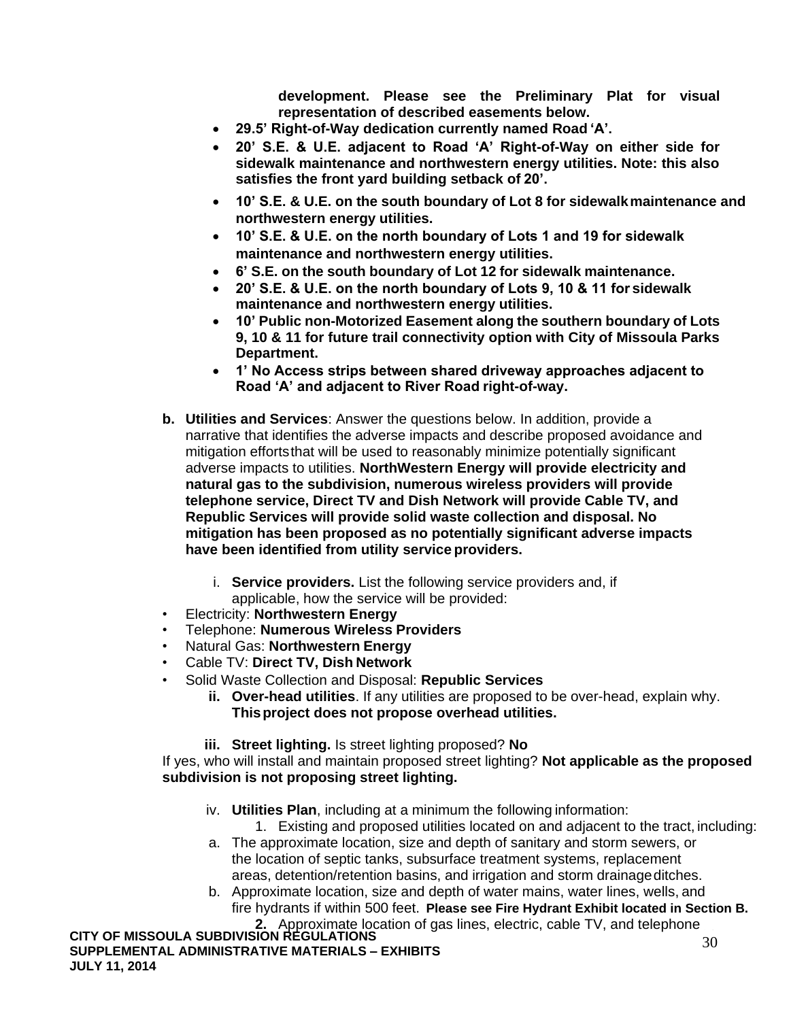**development. Please see the Preliminary Plat for visual representation of described easements below.**

- **29.5' Right-of-Way dedication currently named Road 'A'.**
- **20' S.E. & U.E. adjacent to Road 'A' Right-of-Way on either side for sidewalk maintenance and northwestern energy utilities. Note: this also satisfies the front yard building setback of 20'.**
- **10' S.E. & U.E. on the south boundary of Lot 8 for sidewalkmaintenance and northwestern energy utilities.**
- **10' S.E. & U.E. on the north boundary of Lots 1 and 19 for sidewalk maintenance and northwestern energy utilities.**
- **6' S.E. on the south boundary of Lot 12 for sidewalk maintenance.**
- **20' S.E. & U.E. on the north boundary of Lots 9, 10 & 11 for sidewalk maintenance and northwestern energy utilities.**
- **10' Public non-Motorized Easement along the southern boundary of Lots 9, 10 & 11 for future trail connectivity option with City of Missoula Parks Department.**
- **1' No Access strips between shared driveway approaches adjacent to Road 'A' and adjacent to River Road right-of-way.**
- **b. Utilities and Services**: Answer the questions below. In addition, provide a narrative that identifies the adverse impacts and describe proposed avoidance and mitigation effortsthat will be used to reasonably minimize potentially significant adverse impacts to utilities. **NorthWestern Energy will provide electricity and natural gas to the subdivision, numerous wireless providers will provide telephone service, Direct TV and Dish Network will provide Cable TV, and Republic Services will provide solid waste collection and disposal. No mitigation has been proposed as no potentially significant adverse impacts have been identified from utility service providers.**
	- i. **Service providers.** List the following service providers and, if applicable, how the service will be provided:
- Electricity: **Northwestern Energy**
- Telephone: **Numerous Wireless Providers**
- Natural Gas: **Northwestern Energy**
- Cable TV: **Direct TV, Dish Network**
- Solid Waste Collection and Disposal: **Republic Services**
	- **ii. Over-head utilities**. If any utilities are proposed to be over-head, explain why. **Thisproject does not propose overhead utilities.**
	- **iii. Street lighting.** Is street lighting proposed? **No**

If yes, who will install and maintain proposed street lighting? **Not applicable as the proposed subdivision is not proposing street lighting.**

- iv. **Utilities Plan**, including at a minimum the following information:
- 1. Existing and proposed utilities located on and adjacent to the tract, including: a. The approximate location, size and depth of sanitary and storm sewers, or the location of septic tanks, subsurface treatment systems, replacement areas, detention/retention basins, and irrigation and storm drainageditches.
- b. Approximate location, size and depth of water mains, water lines, wells, and fire hydrants if within 500 feet. Please see Fire Hydrant Exhibit located in Section B. Please see Fire Hydrant Exhibit located in Section B.<br>gas lines, electric, cable TV, and telephone<br>rs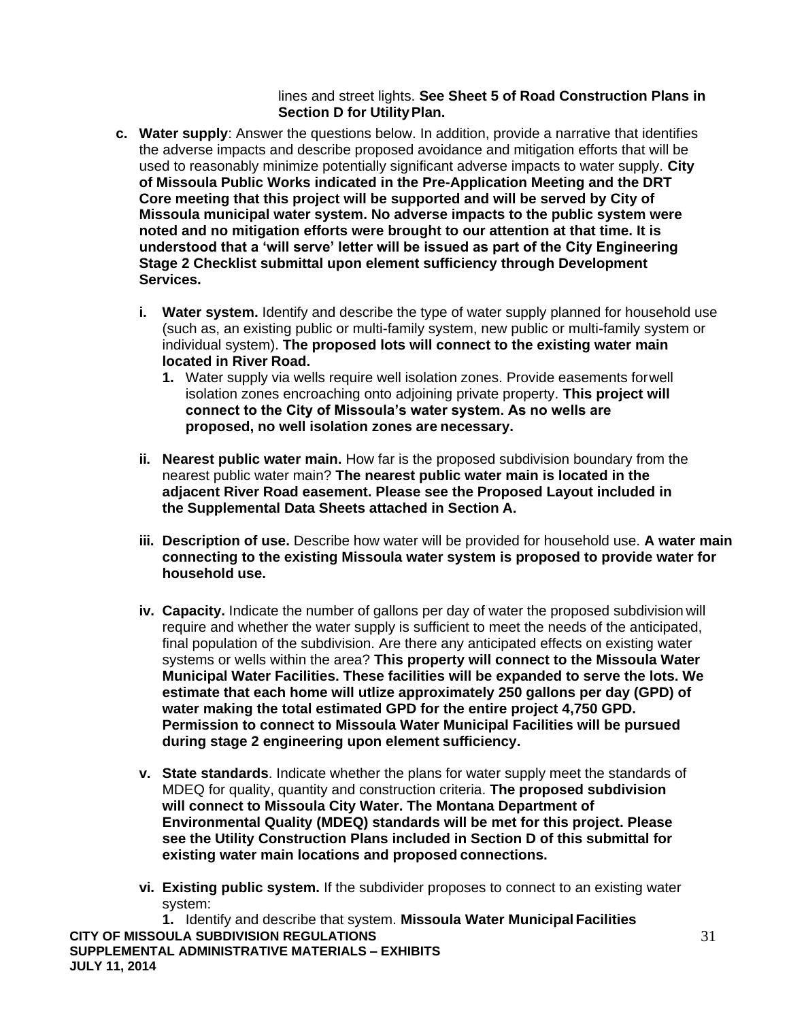### lines and street lights. **See Sheet 5 of Road Construction Plans in Section D for Utility Plan.**

- **c. Water supply**: Answer the questions below. In addition, provide a narrative that identifies the adverse impacts and describe proposed avoidance and mitigation efforts that will be used to reasonably minimize potentially significant adverse impacts to water supply. **City of Missoula Public Works indicated in the Pre-Application Meeting and the DRT Core meeting that this project will be supported and will be served by City of Missoula municipal water system. No adverse impacts to the public system were noted and no mitigation efforts were brought to our attention at that time. It is understood that a 'will serve' letter will be issued as part of the City Engineering Stage 2 Checklist submittal upon element sufficiency through Development Services.**
	- **i. Water system.** Identify and describe the type of water supply planned for household use (such as, an existing public or multi-family system, new public or multi-family system or individual system). **The proposed lots will connect to the existing water main located in River Road.**
		- **1.** Water supply via wells require well isolation zones. Provide easements forwell isolation zones encroaching onto adjoining private property. **This project will connect to the City of Missoula's water system. As no wells are proposed, no well isolation zones are necessary.**
	- **ii. Nearest public water main.** How far is the proposed subdivision boundary from the nearest public water main? **The nearest public water main is located in the adjacent River Road easement. Please see the Proposed Layout included in the Supplemental Data Sheets attached in Section A.**
	- **iii. Description of use.** Describe how water will be provided for household use. **A water main connecting to the existing Missoula water system is proposed to provide water for household use.**
	- **iv. Capacity.** Indicate the number of gallons per day of water the proposed subdivision will require and whether the water supply is sufficient to meet the needs of the anticipated, final population of the subdivision. Are there any anticipated effects on existing water systems or wells within the area? **This property will connect to the Missoula Water Municipal Water Facilities. These facilities will be expanded to serve the lots. We estimate that each home will utlize approximately 250 gallons per day (GPD) of water making the total estimated GPD for the entire project 4,750 GPD. Permission to connect to Missoula Water Municipal Facilities will be pursued during stage 2 engineering upon element sufficiency.**
	- **v. State standards**. Indicate whether the plans for water supply meet the standards of MDEQ for quality, quantity and construction criteria. **The proposed subdivision will connect to Missoula City Water. The Montana Department of Environmental Quality (MDEQ) standards will be met for this project. Please see the Utility Construction Plans included in Section D of this submittal for existing water main locations and proposed connections.**
	- **vi. Existing public system.** If the subdivider proposes to connect to an existing water system:

**CITY OF MISSOULA SUBDIVISION REGULATIONS SUPPLEMENTAL ADMINISTRATIVE MATERIALS – EXHIBITS JULY 11, 2014 1.** Identify and describe that system. **Missoula Water MunicipalFacilities**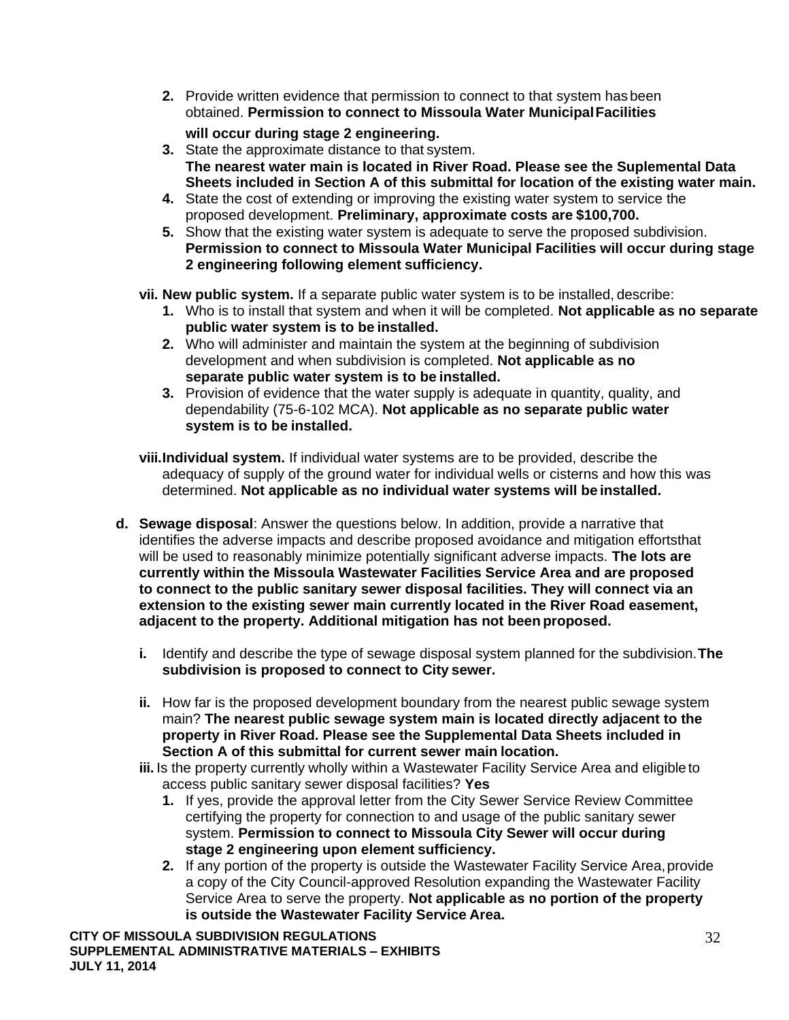**2.** Provide written evidence that permission to connect to that system has been obtained. **Permission to connect to Missoula Water MunicipalFacilities**

## **will occur during stage 2 engineering.**

- **3.** State the approximate distance to that system. **The nearest water main is located in River Road. Please see the Suplemental Data Sheets included in Section A of this submittal for location of the existing water main.**
- **4.** State the cost of extending or improving the existing water system to service the proposed development. **Preliminary, approximate costs are \$100,700.**
- **5.** Show that the existing water system is adequate to serve the proposed subdivision. **Permission to connect to Missoula Water Municipal Facilities will occur during stage 2 engineering following element sufficiency.**
- **vii. New public system.** If a separate public water system is to be installed, describe:
	- **1.** Who is to install that system and when it will be completed. **Not applicable as no separate public water system is to be installed.**
	- **2.** Who will administer and maintain the system at the beginning of subdivision development and when subdivision is completed. **Not applicable as no separate public water system is to be installed.**
	- **3.** Provision of evidence that the water supply is adequate in quantity, quality, and dependability (75-6-102 MCA). **Not applicable as no separate public water system is to be installed.**
- **viii.Individual system.** If individual water systems are to be provided, describe the adequacy of supply of the ground water for individual wells or cisterns and how this was determined. **Not applicable as no individual water systems will be installed.**
- **d. Sewage disposal**: Answer the questions below. In addition, provide a narrative that identifies the adverse impacts and describe proposed avoidance and mitigation effortsthat will be used to reasonably minimize potentially significant adverse impacts. **The lots are currently within the Missoula Wastewater Facilities Service Area and are proposed to connect to the public sanitary sewer disposal facilities. They will connect via an extension to the existing sewer main currently located in the River Road easement, adjacent to the property. Additional mitigation has not been proposed.**
	- **i.** Identify and describe the type of sewage disposal system planned for the subdivision.**The subdivision is proposed to connect to City sewer.**
	- **ii.** How far is the proposed development boundary from the nearest public sewage system main? **The nearest public sewage system main is located directly adjacent to the property in River Road. Please see the Supplemental Data Sheets included in Section A of this submittal for current sewer main location.**
	- **iii.** Is the property currently wholly within a Wastewater Facility Service Area and eligible to access public sanitary sewer disposal facilities? **Yes**
		- **1.** If yes, provide the approval letter from the City Sewer Service Review Committee certifying the property for connection to and usage of the public sanitary sewer system. **Permission to connect to Missoula City Sewer will occur during stage 2 engineering upon element sufficiency.**
		- **2.** If any portion of the property is outside the Wastewater Facility Service Area,provide a copy of the City Council-approved Resolution expanding the Wastewater Facility Service Area to serve the property. **Not applicable as no portion of the property is outside the Wastewater Facility Service Area.**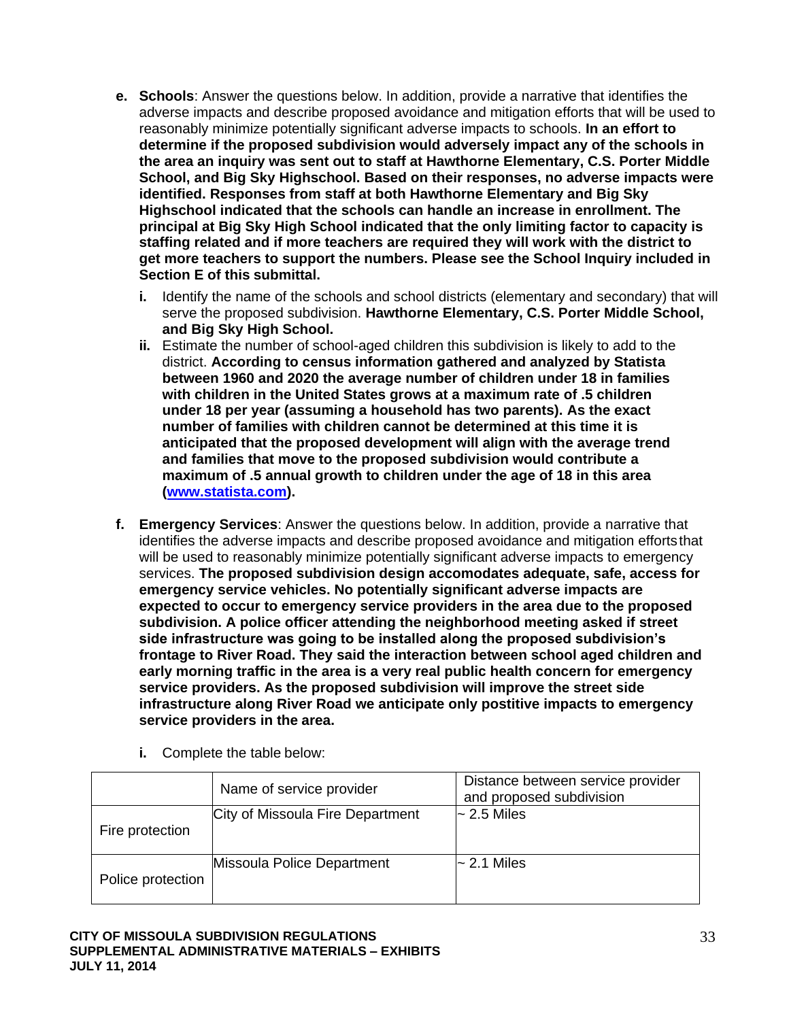- **e. Schools**: Answer the questions below. In addition, provide a narrative that identifies the adverse impacts and describe proposed avoidance and mitigation efforts that will be used to reasonably minimize potentially significant adverse impacts to schools. **In an effort to determine if the proposed subdivision would adversely impact any of the schools in the area an inquiry was sent out to staff at Hawthorne Elementary, C.S. Porter Middle School, and Big Sky Highschool. Based on their responses, no adverse impacts were identified. Responses from staff at both Hawthorne Elementary and Big Sky Highschool indicated that the schools can handle an increase in enrollment. The principal at Big Sky High School indicated that the only limiting factor to capacity is staffing related and if more teachers are required they will work with the district to get more teachers to support the numbers. Please see the School Inquiry included in Section E of this submittal.**
	- **i.** Identify the name of the schools and school districts (elementary and secondary) that will serve the proposed subdivision. **Hawthorne Elementary, C.S. Porter Middle School, and Big Sky High School.**
	- **ii.** Estimate the number of school-aged children this subdivision is likely to add to the district. **According to census information gathered and analyzed by Statista between 1960 and 2020 the average number of children under 18 in families with children in the United States grows at a maximum rate of .5 children under 18 per year (assuming a household has two parents). As the exact number of families with children cannot be determined at this time it is anticipated that the proposed development will align with the average trend and families that move to the proposed subdivision would contribute a maximum of .5 annual growth to children under the age of 18 in this area [\(www.statista.com\)](http://www.statista.com/).**
- **f. Emergency Services**: Answer the questions below. In addition, provide a narrative that identifies the adverse impacts and describe proposed avoidance and mitigation effortsthat will be used to reasonably minimize potentially significant adverse impacts to emergency services. **The proposed subdivision design accomodates adequate, safe, access for emergency service vehicles. No potentially significant adverse impacts are expected to occur to emergency service providers in the area due to the proposed subdivision. A police officer attending the neighborhood meeting asked if street side infrastructure was going to be installed along the proposed subdivision's frontage to River Road. They said the interaction between school aged children and early morning traffic in the area is a very real public health concern for emergency service providers. As the proposed subdivision will improve the street side infrastructure along River Road we anticipate only postitive impacts to emergency service providers in the area.**

|                   | Name of service provider         | Distance between service provider<br>and proposed subdivision |  |  |
|-------------------|----------------------------------|---------------------------------------------------------------|--|--|
| Fire protection   | City of Missoula Fire Department | $\sim$ 2.5 Miles                                              |  |  |
| Police protection | Missoula Police Department       | $\sim$ 2.1 Miles                                              |  |  |

**i.** Complete the table below: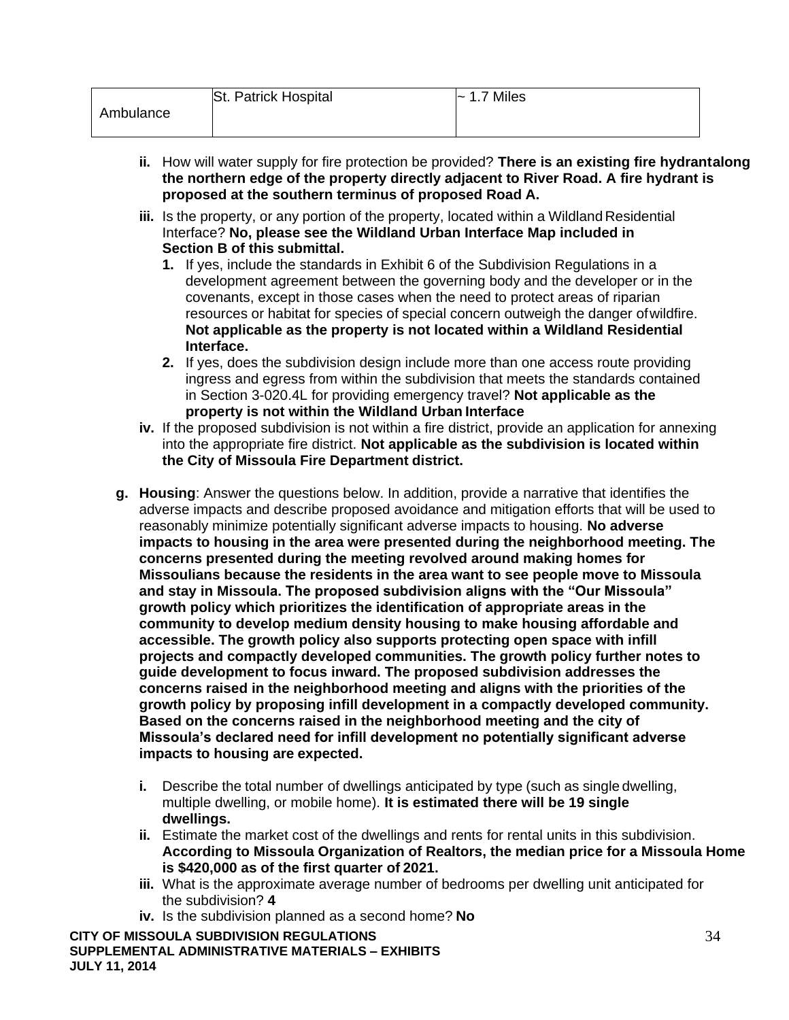- **ii.** How will water supply for fire protection be provided? **There is an existing fire hydrantalong the northern edge of the property directly adjacent to River Road. A fire hydrant is proposed at the southern terminus of proposed Road A.**
- **iii.** Is the property, or any portion of the property, located within a Wildland Residential Interface? **No, please see the Wildland Urban Interface Map included in Section B of this submittal.**
	- **1.** If yes, include the standards in Exhibit 6 of the Subdivision Regulations in a development agreement between the governing body and the developer or in the covenants, except in those cases when the need to protect areas of riparian resources or habitat for species of special concern outweigh the danger ofwildfire. **Not applicable as the property is not located within a Wildland Residential Interface.**
	- **2.** If yes, does the subdivision design include more than one access route providing ingress and egress from within the subdivision that meets the standards contained in Section 3-020.4L for providing emergency travel? **Not applicable as the property is not within the Wildland Urban Interface**
- **iv.** If the proposed subdivision is not within a fire district, provide an application for annexing into the appropriate fire district. **Not applicable as the subdivision is located within the City of Missoula Fire Department district.**
- **g. Housing**: Answer the questions below. In addition, provide a narrative that identifies the adverse impacts and describe proposed avoidance and mitigation efforts that will be used to reasonably minimize potentially significant adverse impacts to housing. **No adverse impacts to housing in the area were presented during the neighborhood meeting. The concerns presented during the meeting revolved around making homes for Missoulians because the residents in the area want to see people move to Missoula and stay in Missoula. The proposed subdivision aligns with the "Our Missoula" growth policy which prioritizes the identification of appropriate areas in the community to develop medium density housing to make housing affordable and accessible. The growth policy also supports protecting open space with infill projects and compactly developed communities. The growth policy further notes to guide development to focus inward. The proposed subdivision addresses the concerns raised in the neighborhood meeting and aligns with the priorities of the growth policy by proposing infill development in a compactly developed community. Based on the concerns raised in the neighborhood meeting and the city of Missoula's declared need for infill development no potentially significant adverse impacts to housing are expected.**
	- **i.** Describe the total number of dwellings anticipated by type (such as single dwelling, multiple dwelling, or mobile home). **It is estimated there will be 19 single dwellings.**
	- **ii.** Estimate the market cost of the dwellings and rents for rental units in this subdivision. **According to Missoula Organization of Realtors, the median price for a Missoula Home is \$420,000 as of the first quarter of 2021.**
	- **iii.** What is the approximate average number of bedrooms per dwelling unit anticipated for the subdivision? **4**
	- **iv.** Is the subdivision planned as a second home? **No**

**CITY OF MISSOULA SUBDIVISION REGULATIONS SUPPLEMENTAL ADMINISTRATIVE MATERIALS – EXHIBITS JULY 11, 2014**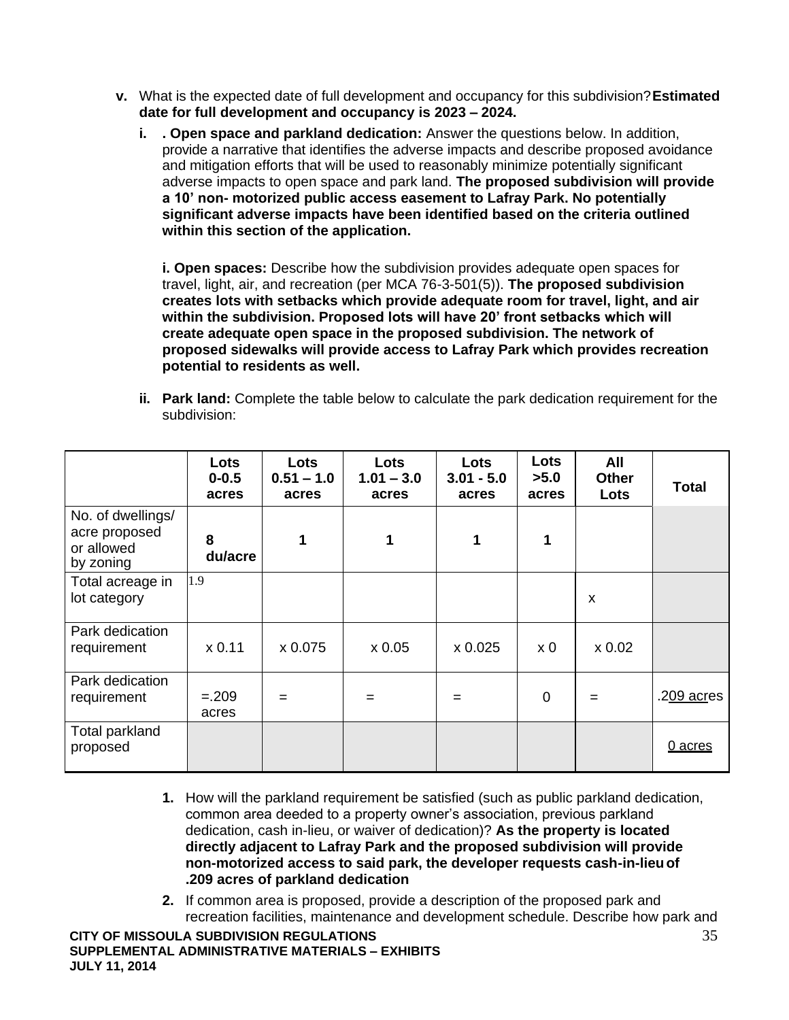- **v.** What is the expected date of full development and occupancy for this subdivision?**Estimated date for full development and occupancy is 2023 – 2024.**
	- **i. . Open space and parkland dedication:** Answer the questions below. In addition, provide a narrative that identifies the adverse impacts and describe proposed avoidance and mitigation efforts that will be used to reasonably minimize potentially significant adverse impacts to open space and park land. **The proposed subdivision will provide a 10' non- motorized public access easement to Lafray Park. No potentially significant adverse impacts have been identified based on the criteria outlined within this section of the application.**

**i. Open spaces:** Describe how the subdivision provides adequate open spaces for travel, light, air, and recreation (per MCA 76-3-501(5)). **The proposed subdivision creates lots with setbacks which provide adequate room for travel, light, and air within the subdivision. Proposed lots will have 20' front setbacks which will create adequate open space in the proposed subdivision. The network of proposed sidewalks will provide access to Lafray Park which provides recreation potential to residents as well.**

**ii. Park land:** Complete the table below to calculate the park dedication requirement for the subdivision:

|                                                               | Lots<br>$0 - 0.5$<br>acres | Lots<br>$0.51 - 1.0$<br>acres | Lots<br>$1.01 - 3.0$<br>acres | Lots<br>$3.01 - 5.0$<br>acres | Lots<br>>5.0<br>acres | All<br><b>Other</b><br>Lots | <b>Total</b>        |
|---------------------------------------------------------------|----------------------------|-------------------------------|-------------------------------|-------------------------------|-----------------------|-----------------------------|---------------------|
| No. of dwellings/<br>acre proposed<br>or allowed<br>by zoning | 8<br>du/acre               | 1                             | 1                             | 1                             | 1                     |                             |                     |
| Total acreage in<br>lot category                              | 1.9                        |                               |                               |                               |                       | $\boldsymbol{\mathsf{x}}$   |                     |
| Park dedication<br>requirement                                | x 0.11                     | x 0.075                       | x 0.05                        | x 0.025                       | x <sub>0</sub>        | x 0.02                      |                     |
| Park dedication<br>requirement                                | $=.209$<br>acres           | $=$                           | $=$                           | =                             | 0                     | $=$                         | .2 <u>09 acr</u> es |
| Total parkland<br>proposed                                    |                            |                               |                               |                               |                       |                             | 0 acres             |

- **1.** How will the parkland requirement be satisfied (such as public parkland dedication, common area deeded to a property owner's association, previous parkland dedication, cash in-lieu, or waiver of dedication)? **As the property is located directly adjacent to Lafray Park and the proposed subdivision will provide non-motorized access to said park, the developer requests cash-in-lieuof .209 acres of parkland dedication**
- **2.** If common area is proposed, provide a description of the proposed park and recreation facilities, maintenance and development schedule. Describe how park and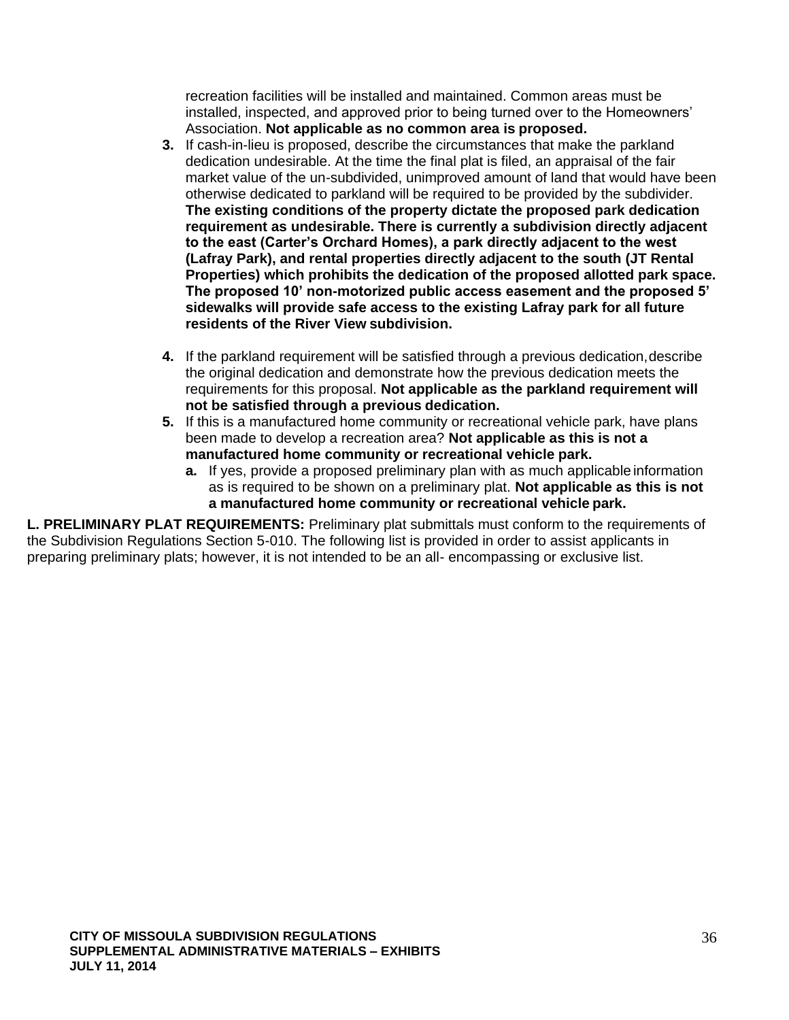recreation facilities will be installed and maintained. Common areas must be installed, inspected, and approved prior to being turned over to the Homeowners' Association. **Not applicable as no common area is proposed.**

- **3.** If cash-in-lieu is proposed, describe the circumstances that make the parkland dedication undesirable. At the time the final plat is filed, an appraisal of the fair market value of the un-subdivided, unimproved amount of land that would have been otherwise dedicated to parkland will be required to be provided by the subdivider. **The existing conditions of the property dictate the proposed park dedication requirement as undesirable. There is currently a subdivision directly adjacent to the east (Carter's Orchard Homes), a park directly adjacent to the west (Lafray Park), and rental properties directly adjacent to the south (JT Rental Properties) which prohibits the dedication of the proposed allotted park space. The proposed 10' non-motorized public access easement and the proposed 5' sidewalks will provide safe access to the existing Lafray park for all future residents of the River View subdivision.**
- **4.** If the parkland requirement will be satisfied through a previous dedication,describe the original dedication and demonstrate how the previous dedication meets the requirements for this proposal. **Not applicable as the parkland requirement will not be satisfied through a previous dedication.**
- **5.** If this is a manufactured home community or recreational vehicle park, have plans been made to develop a recreation area? **Not applicable as this is not a manufactured home community or recreational vehicle park.**
	- **a.** If yes, provide a proposed preliminary plan with as much applicable information as is required to be shown on a preliminary plat. **Not applicable as this is not a manufactured home community or recreational vehicle park.**

**L. PRELIMINARY PLAT REQUIREMENTS:** Preliminary plat submittals must conform to the requirements of the Subdivision Regulations Section 5-010. The following list is provided in order to assist applicants in preparing preliminary plats; however, it is not intended to be an all- encompassing or exclusive list.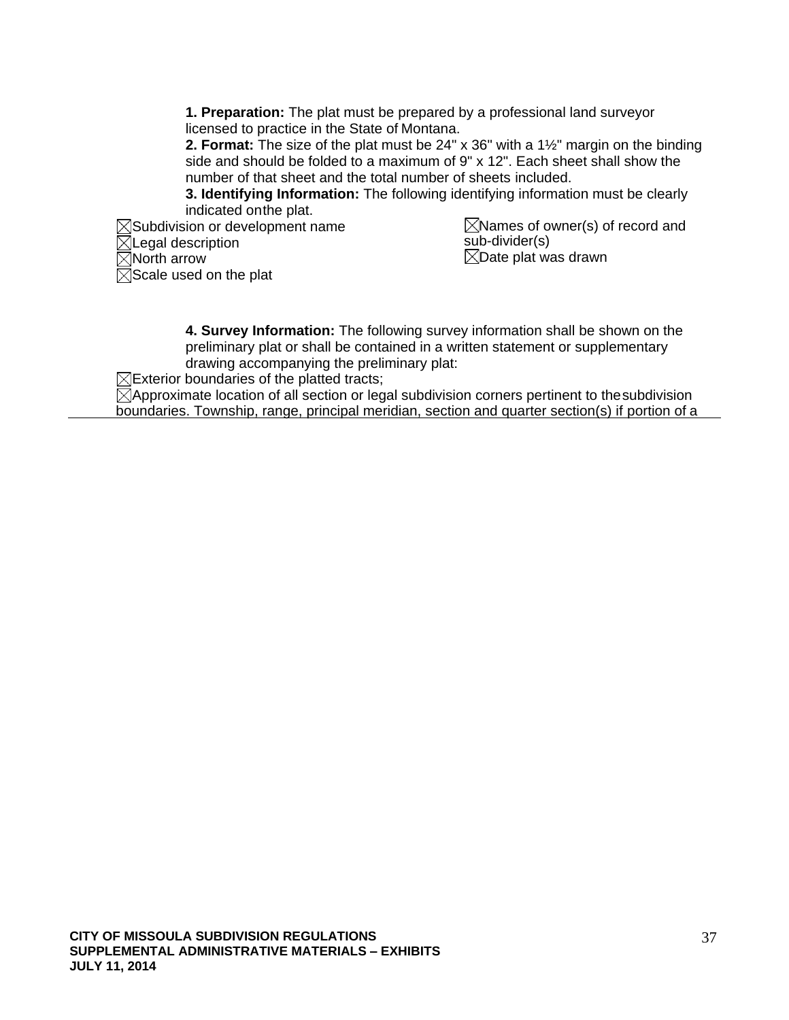**1. Preparation:** The plat must be prepared by a professional land surveyor licensed to practice in the State of Montana.

**2. Format:** The size of the plat must be 24" x 36" with a 1½" margin on the binding side and should be folded to a maximum of 9" x 12". Each sheet shall show the number of that sheet and the total number of sheets included.

**3. Identifying Information:** The following identifying information must be clearly indicated onthe plat.

 $\boxtimes$ Subdivision or development name  $\boxtimes$ Legal description  $\overline{\boxtimes}$ North arrow  $\boxtimes$ Scale used on the plat

 $\boxtimes$ Names of owner(s) of record and sub-divider(s)  $\boxtimes$ Date plat was drawn

**4. Survey Information:** The following survey information shall be shown on the preliminary plat or shall be contained in a written statement or supplementary drawing accompanying the preliminary plat:

 $\boxtimes$ Exterior boundaries of the platted tracts;

 $\boxtimes$ Approximate location of all section or legal subdivision corners pertinent to the subdivision boundaries. Township, range, principal meridian, section and quarter section(s) if portion of a